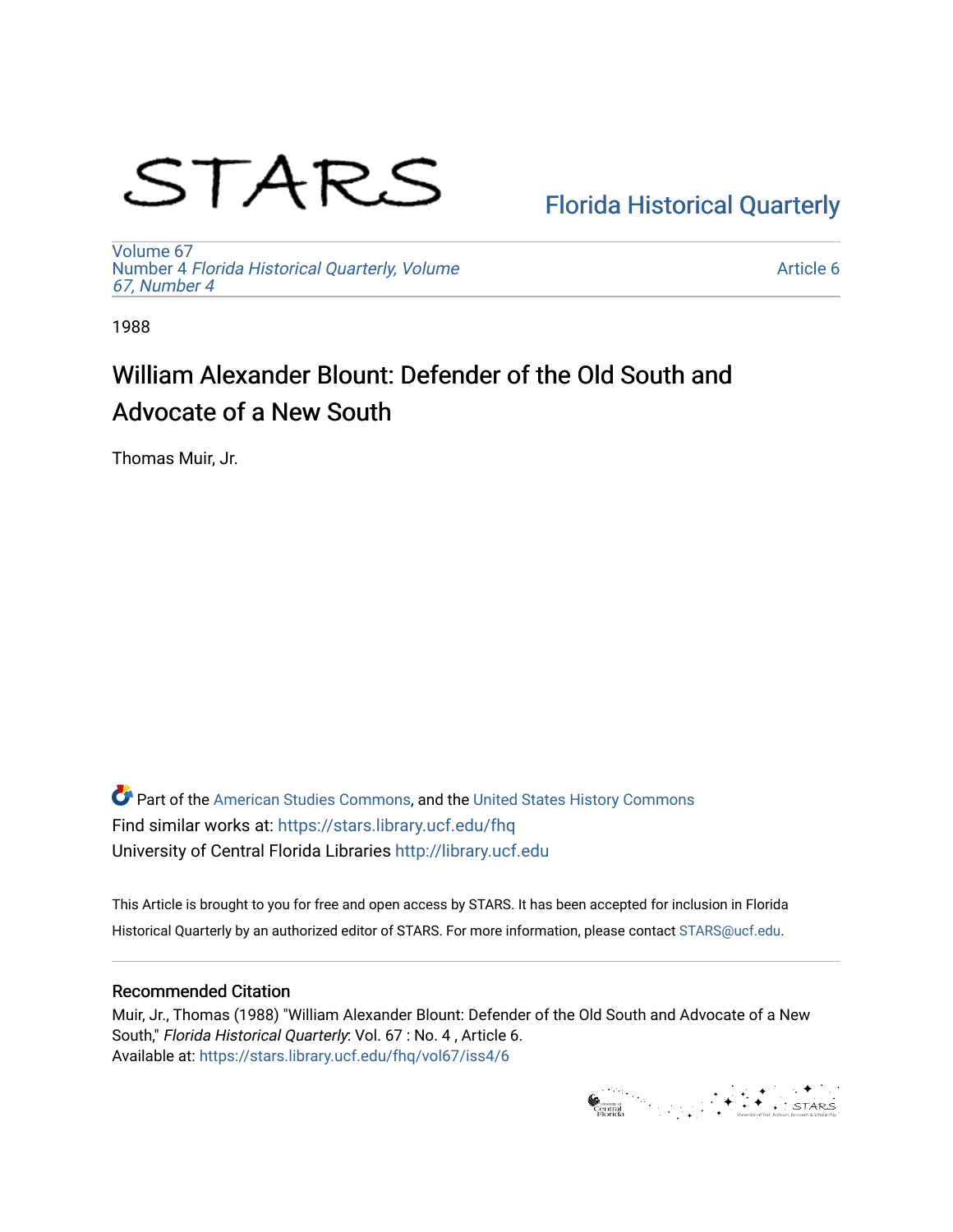# STARS

## [Florida Historical Quarterly](https://stars.library.ucf.edu/fhq)

[Volume 67](https://stars.library.ucf.edu/fhq/vol67) Number 4 [Florida Historical Quarterly, Volume](https://stars.library.ucf.edu/fhq/vol67/iss4)  [67, Number 4](https://stars.library.ucf.edu/fhq/vol67/iss4)

[Article 6](https://stars.library.ucf.edu/fhq/vol67/iss4/6) 

1988

## William Alexander Blount: Defender of the Old South and Advocate of a New South

Thomas Muir, Jr.

**C** Part of the [American Studies Commons](http://network.bepress.com/hgg/discipline/439?utm_source=stars.library.ucf.edu%2Ffhq%2Fvol67%2Fiss4%2F6&utm_medium=PDF&utm_campaign=PDFCoverPages), and the United States History Commons Find similar works at: <https://stars.library.ucf.edu/fhq> University of Central Florida Libraries [http://library.ucf.edu](http://library.ucf.edu/) 

This Article is brought to you for free and open access by STARS. It has been accepted for inclusion in Florida Historical Quarterly by an authorized editor of STARS. For more information, please contact [STARS@ucf.edu.](mailto:STARS@ucf.edu)

### Recommended Citation

Muir, Jr., Thomas (1988) "William Alexander Blount: Defender of the Old South and Advocate of a New South," Florida Historical Quarterly: Vol. 67 : No. 4 , Article 6. Available at: [https://stars.library.ucf.edu/fhq/vol67/iss4/6](https://stars.library.ucf.edu/fhq/vol67/iss4/6?utm_source=stars.library.ucf.edu%2Ffhq%2Fvol67%2Fiss4%2F6&utm_medium=PDF&utm_campaign=PDFCoverPages) 

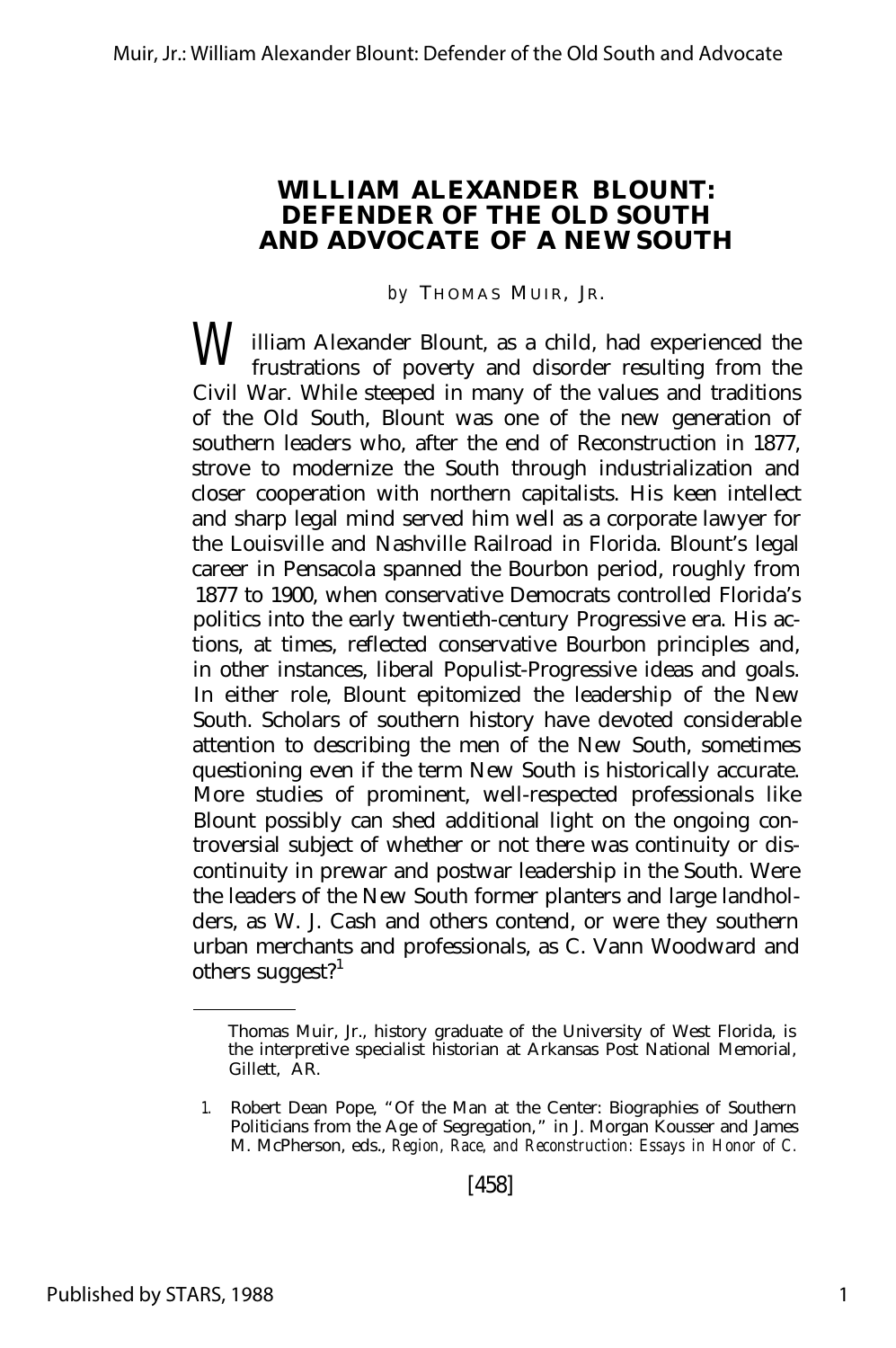### **WILLIAM ALEXANDER BLOUNT: DEFENDER OF THE OLD SOUTH AND ADVOCATE OF A NEW SOUTH**

by THOMAS MUIR, JR.

**W**illiam Alexander Blount, as a child, had experienced the frustrations of poverty and disorder resulting from the Civil War. While steeped in many of the values and traditions of the Old South, Blount was one of the new generation of southern leaders who, after the end of Reconstruction in 1877, strove to modernize the South through industrialization and closer cooperation with northern capitalists. His keen intellect and sharp legal mind served him well as a corporate lawyer for the Louisville and Nashville Railroad in Florida. Blount's legal career in Pensacola spanned the Bourbon period, roughly from 1877 to 1900, when conservative Democrats controlled Florida's politics into the early twentieth-century Progressive era. His actions, at times, reflected conservative Bourbon principles and, in other instances, liberal Populist-Progressive ideas and goals. In either role, Blount epitomized the leadership of the New South. Scholars of southern history have devoted considerable attention to describing the men of the New South, sometimes questioning even if the term New South is historically accurate. More studies of prominent, well-respected professionals like Blount possibly can shed additional light on the ongoing controversial subject of whether or not there was continuity or discontinuity in prewar and postwar leadership in the South. Were the leaders of the New South former planters and large landholders, as W. J. Cash and others contend, or were they southern urban merchants and professionals, as C. Vann Woodward and others suggest? $1$ 

Thomas Muir, Jr., history graduate of the University of West Florida, is the interpretive specialist historian at Arkansas Post National Memorial, Gillett, AR.

<sup>1.</sup> Robert Dean Pope, "Of the Man at the Center: Biographies of Southern Politicians from the Age of Segregation," in J. Morgan Kousser and James M. McPherson, eds., *Region, Race, and Reconstruction: Essays in Honor of C.*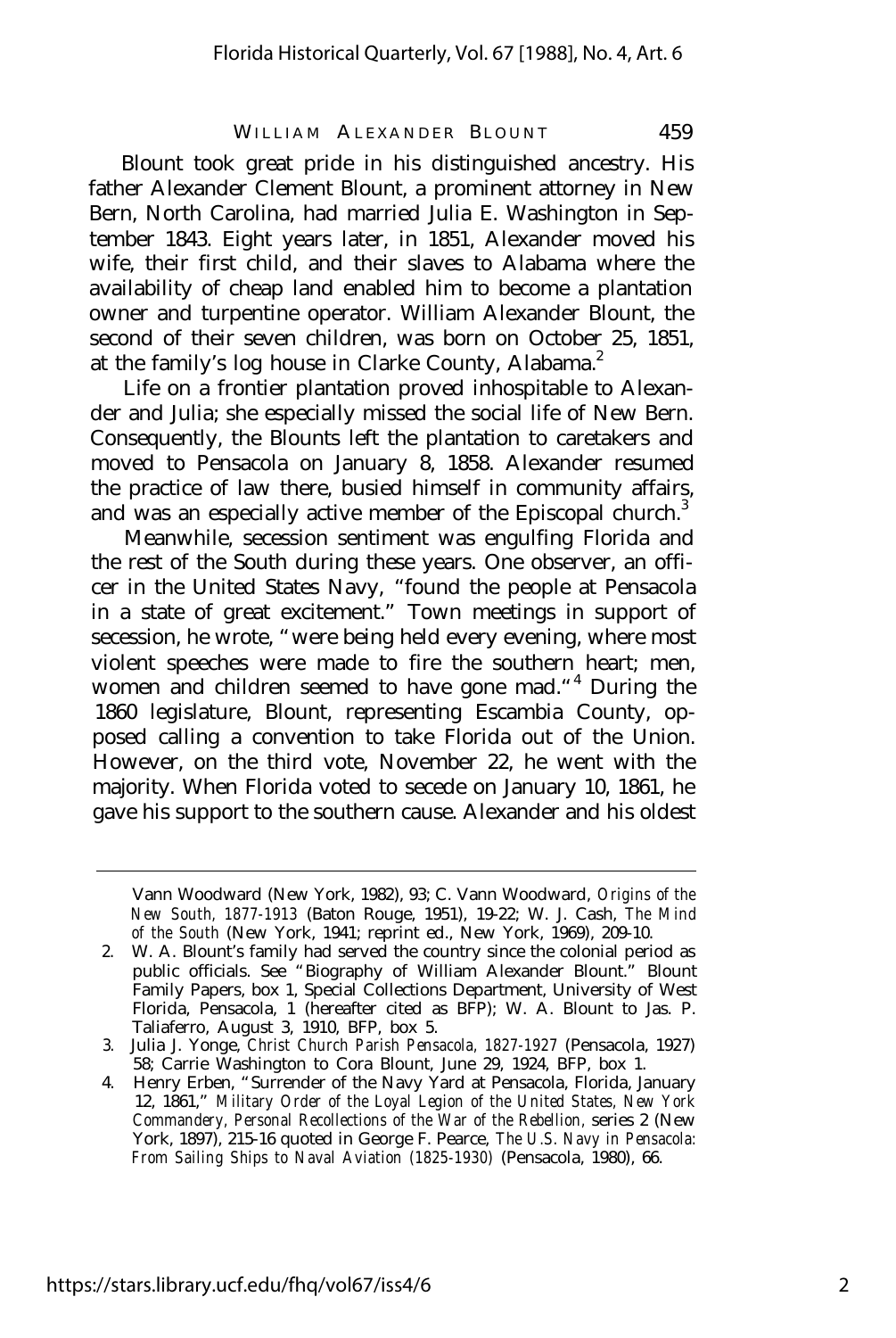Blount took great pride in his distinguished ancestry. His father Alexander Clement Blount, a prominent attorney in New Bern, North Carolina, had married Julia E. Washington in September 1843. Eight years later, in 1851, Alexander moved his wife, their first child, and their slaves to Alabama where the availability of cheap land enabled him to become a plantation owner and turpentine operator. William Alexander Blount, the second of their seven children, was born on October 25, 1851, at the family's log house in Clarke County, Alabama.<sup>2</sup>

Life on a frontier plantation proved inhospitable to Alexander and Julia; she especially missed the social life of New Bern. Consequently, the Blounts left the plantation to caretakers and moved to Pensacola on January 8, 1858. Alexander resumed the practice of law there, busied himself in community affairs, and was an especially active member of the Episcopal church.<sup>3</sup>

Meanwhile, secession sentiment was engulfing Florida and the rest of the South during these years. One observer, an officer in the United States Navy, "found the people at Pensacola in a state of great excitement." Town meetings in support of secession, he wrote, "were being held every evening, where most violent speeches were made to fire the southern heart; men, women and children seemed to have gone mad."<sup>4</sup> During the 1860 legislature, Blount, representing Escambia County, opposed calling a convention to take Florida out of the Union. However, on the third vote, November 22, he went with the majority. When Florida voted to secede on January 10, 1861, he gave his support to the southern cause. Alexander and his oldest

2

Vann Woodward (New York, 1982), 93; C. Vann Woodward, *Origins of the New South, 1877-1913* (Baton Rouge, 1951), 19-22; W. J. Cash, *The Mind of the South* (New York, 1941; reprint ed., New York, 1969), 209-10.

<sup>2.</sup> W. A. Blount's family had served the country since the colonial period as public officials. See "Biography of William Alexander Blount." Blount Family Papers, box 1, Special Collections Department, University of West Florida, Pensacola, 1 (hereafter cited as BFP); W. A. Blount to Jas. P. Taliaferro, August 3, 1910, BFP, box 5.

<sup>3.</sup> Julia J. Yonge, *Christ Church Parish Pensacola, 1827-1927* (Pensacola, 1927) 58; Carrie Washington to Cora Blount, June 29, 1924, BFP, box 1.

<sup>4.</sup> Henry Erben, "Surrender of the Navy Yard at Pensacola, Florida, January 12, 1861," *Military Order of the Loyal Legion of the United States, New York Commandery, Personal Recollections of the War of the Rebellion,* series 2 (New York, 1897), 215-16 quoted in George F. Pearce, *The U.S. Navy in Pensacola: From Sailing Ships to Naval Aviation (1825-1930)* (Pensacola, 1980), 66.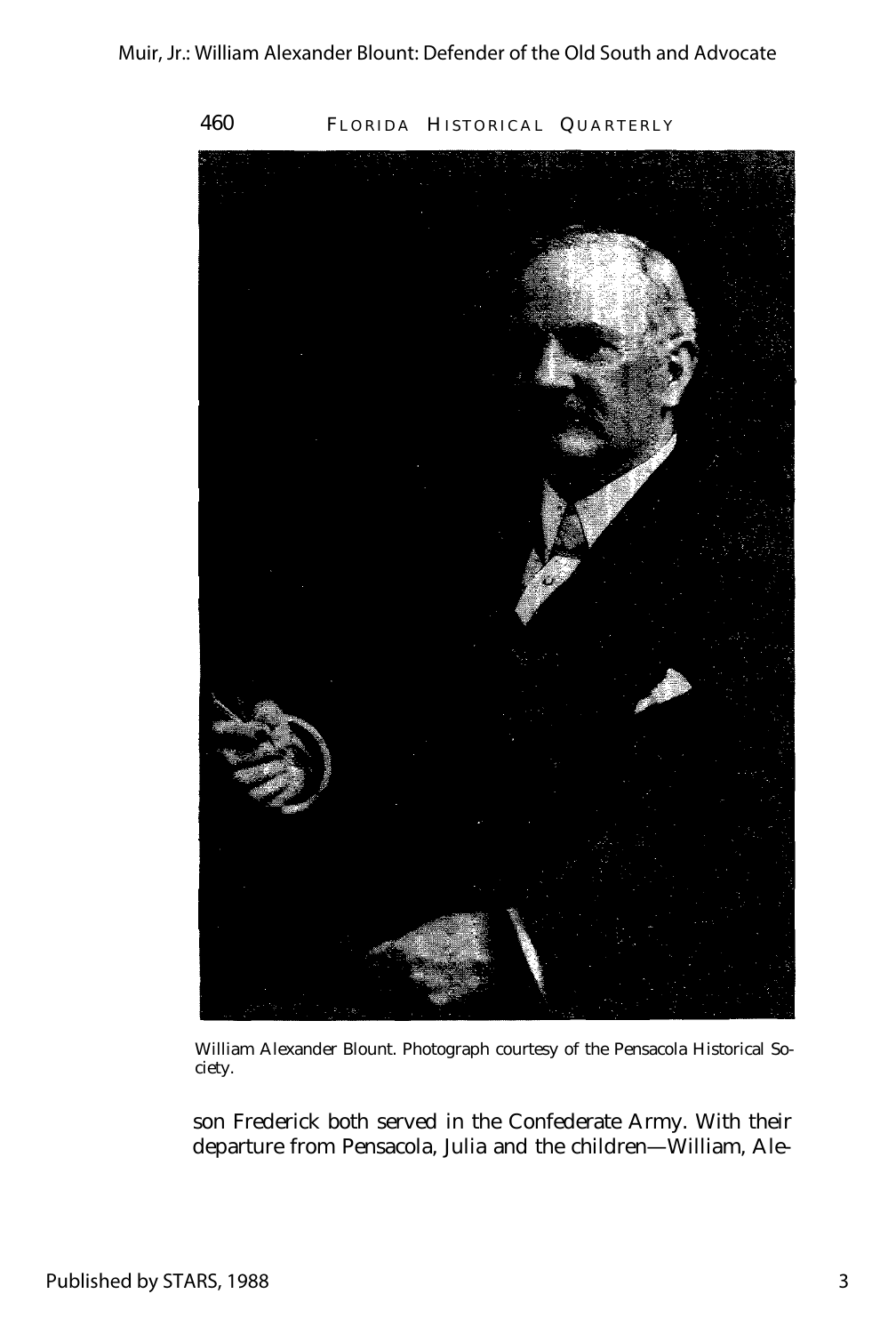

William Alexander Blount. Photograph courtesy of the Pensacola Historical Society.

son Frederick both served in the Confederate Army. With their departure from Pensacola, Julia and the children— William, Ale-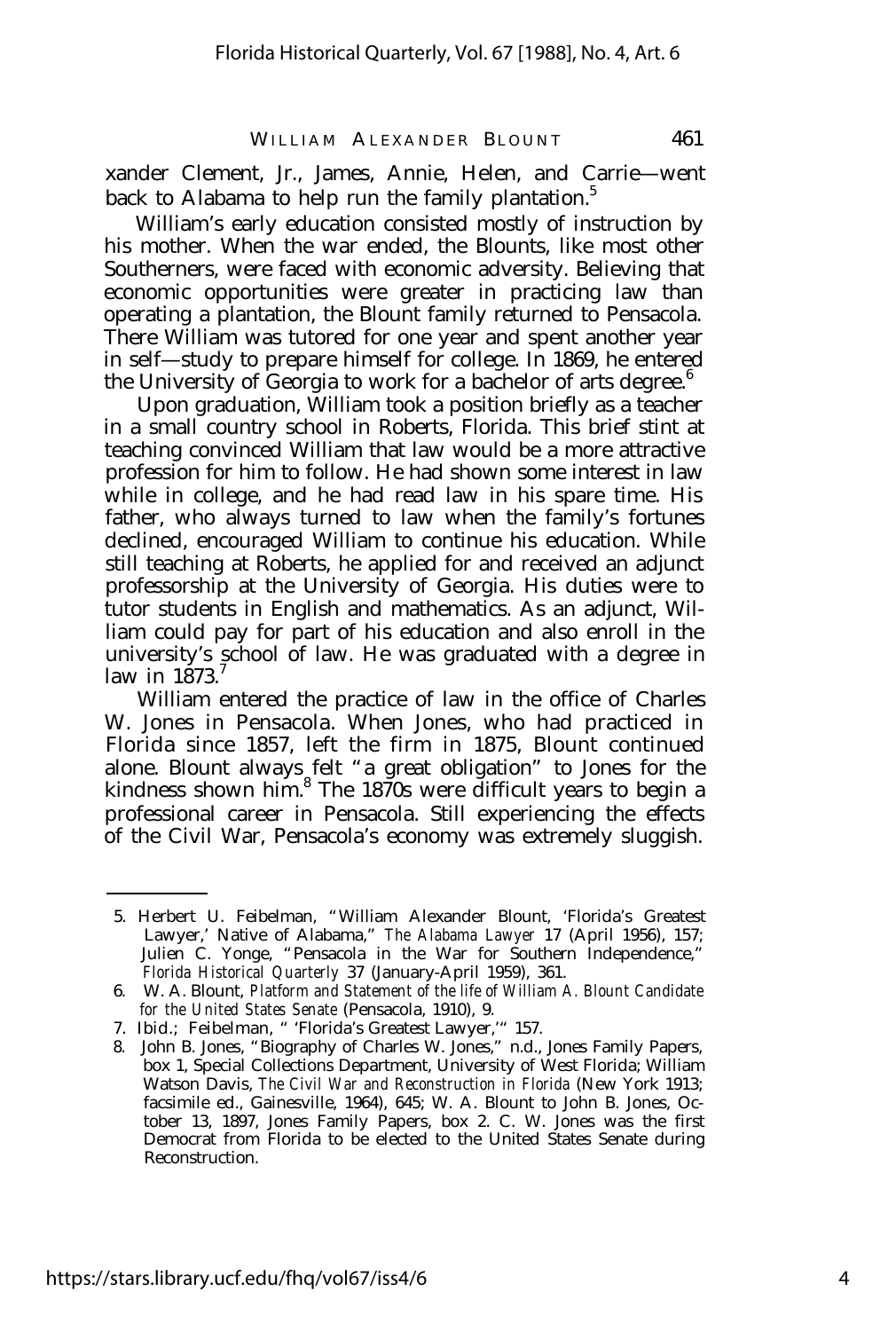xander Clement, Jr., James, Annie, Helen, and Carrie— went back to Alabama to help run the family plantation.<sup>5</sup>

William's early education consisted mostly of instruction by his mother. When the war ended, the Blounts, like most other Southerners, were faced with economic adversity. Believing that economic opportunities were greater in practicing law than operating a plantation, the Blount family returned to Pensacola. There William was tutored for one year and spent another year in self— study to prepare himself for college. In 1869, he entered the University of Georgia to work for a bachelor of arts degree.<sup>6</sup>

Upon graduation, William took a position briefly as a teacher in a small country school in Roberts, Florida. This brief stint at teaching convinced William that law would be a more attractive profession for him to follow. He had shown some interest in law while in college, and he had read law in his spare time. His father, who always turned to law when the family's fortunes declined, encouraged William to continue his education. While still teaching at Roberts, he applied for and received an adjunct professorship at the University of Georgia. His duties were to tutor students in English and mathematics. As an adjunct, William could pay for part of his education and also enroll in the university's school of law. He was graduated with a degree in law in 1873.

William entered the practice of law in the office of Charles W. Jones in Pensacola. When Jones, who had practiced in Florida since 1857, left the firm in 1875, Blount continued alone. Blount always felt "a great obligation" to Jones for the kindness shown him.<sup>8</sup> The 1870s were difficult years to begin a professional career in Pensacola. Still experiencing the effects of the Civil War, Pensacola's economy was extremely sluggish.

<sup>5.</sup> Herbert U. Feibelman, "William Alexander Blount, 'Florida's Greatest Lawyer,' Native of Alabama," *The Alabama Lawyer* 17 (April 1956), 157; Julien C. Yonge, "Pensacola in the War for Southern Independence," *Florida Historical Quarterly* 37 (January-April 1959), 361.

<sup>6.</sup> W. A. Blount, *Platform and Statement of the life of William A. Blount Candidate for the United States Senate* (Pensacola, 1910), 9.

<sup>7.</sup> Ibid.; Feibelman, " 'Florida's Greatest Lawyer,'" 157.

<sup>8.</sup> John B. Jones, "Biography of Charles W. Jones," n.d., Jones Family Papers, box 1, Special Collections Department, University of West Florida; William Watson Davis, *The Civil War and Reconstruction in Florida* (New York 1913; facsimile ed., Gainesville, 1964), 645; W. A. Blount to John B. Jones, October 13, 1897, Jones Family Papers, box 2. C. W. Jones was the first Democrat from Florida to be elected to the United States Senate during Reconstruction.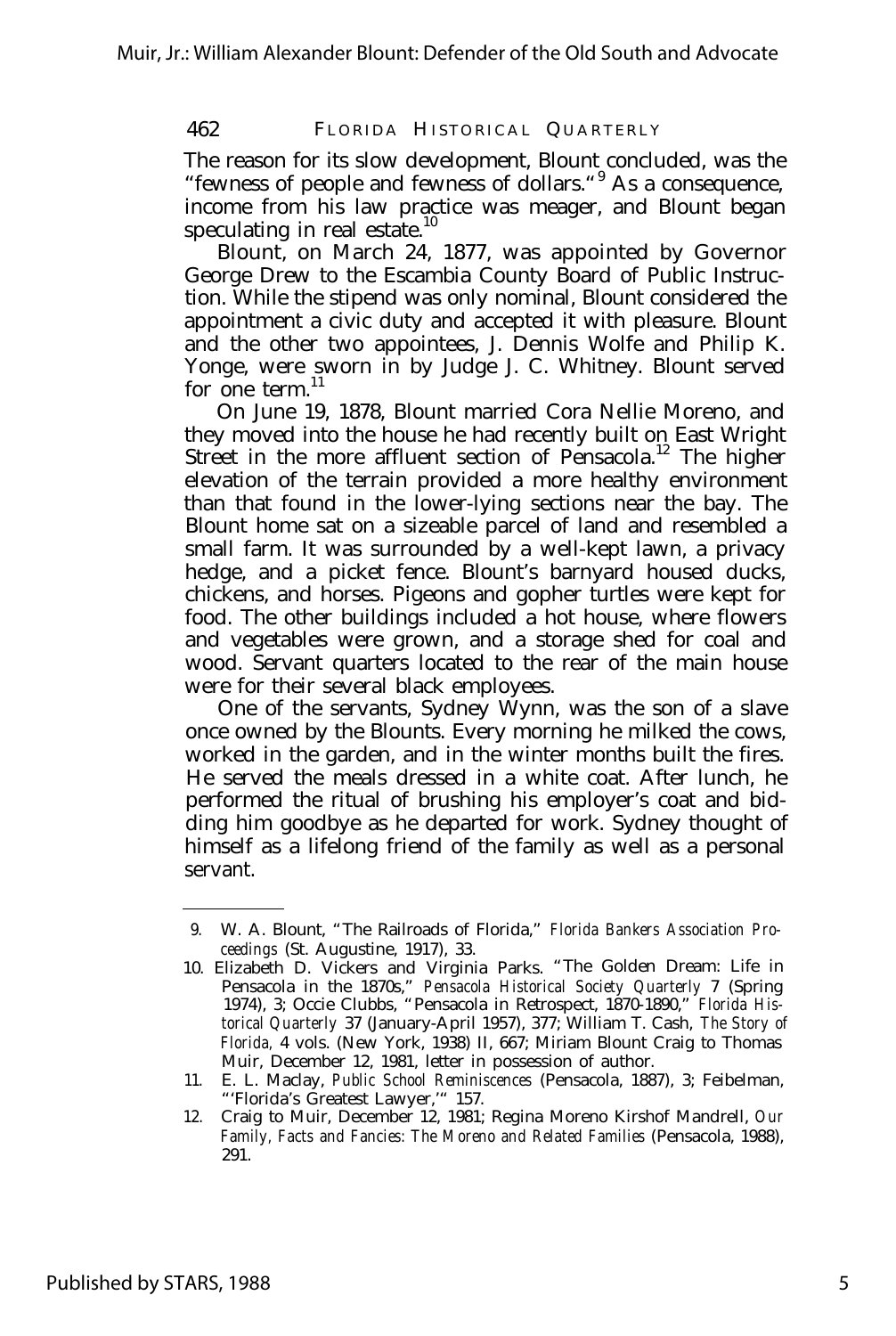The reason for its slow development, Blount concluded, was the "fewness of people and fewness of dollars."<sup>9</sup> As a consequence, income from his law practice was meager, and Blount began speculating in real estate.<sup>10</sup>

Blount, on March 24, 1877, was appointed by Governor George Drew to the Escambia County Board of Public Instruction. While the stipend was only nominal, Blount considered the appointment a civic duty and accepted it with pleasure. Blount and the other two appointees, J. Dennis Wolfe and Philip K. Yonge, were sworn in by Judge J. C. Whitney. Blount served for one term  $11$ 

On June 19, 1878, Blount married Cora Nellie Moreno, and they moved into the house he had recently built on East Wright Street in the more affluent section of Pensacola.<sup>12</sup> The higher elevation of the terrain provided a more healthy environment than that found in the lower-lying sections near the bay. The Blount home sat on a sizeable parcel of land and resembled a small farm. It was surrounded by a well-kept lawn, a privacy hedge, and a picket fence. Blount's barnyard housed ducks, chickens, and horses. Pigeons and gopher turtles were kept for food. The other buildings included a hot house, where flowers and vegetables were grown, and a storage shed for coal and wood. Servant quarters located to the rear of the main house were for their several black employees.

One of the servants, Sydney Wynn, was the son of a slave once owned by the Blounts. Every morning he milked the cows, worked in the garden, and in the winter months built the fires. He served the meals dressed in a white coat. After lunch, he performed the ritual of brushing his employer's coat and bidding him goodbye as he departed for work. Sydney thought of himself as a lifelong friend of the family as well as a personal servant.

11. E. L. Maclay, *Public School Reminiscences* (Pensacola, 1887), 3; Feibelman, "'Florida's Greatest Lawyer,'" 157.

<sup>9.</sup> W. A. Blount, "The Railroads of Florida," *Florida Bankers Association Proceedings* (St. Augustine, 1917), 33.

<sup>10.</sup> Elizabeth D. Vickers and Virginia Parks. "The Golden Dream: Life in Pensacola in the 1870s," *Pensacola Historical Society Quarterly* 7 (Spring 1974), 3; Occie Clubbs, "Pensacola in Retrospect, 1870-1890," *Florida Historical Quarterly* 37 (January-April 1957), 377; William T. Cash, *The Story of Florida,* 4 vols. (New York, 1938) II, 667; Miriam Blount Craig to Thomas Muir, December 12, 1981, letter in possession of author.

<sup>12.</sup> Craig to Muir, December 12, 1981; Regina Moreno Kirshof Mandrell, *Our Family, Facts and Fancies: The Moreno and Related Families* (Pensacola, 1988), 291.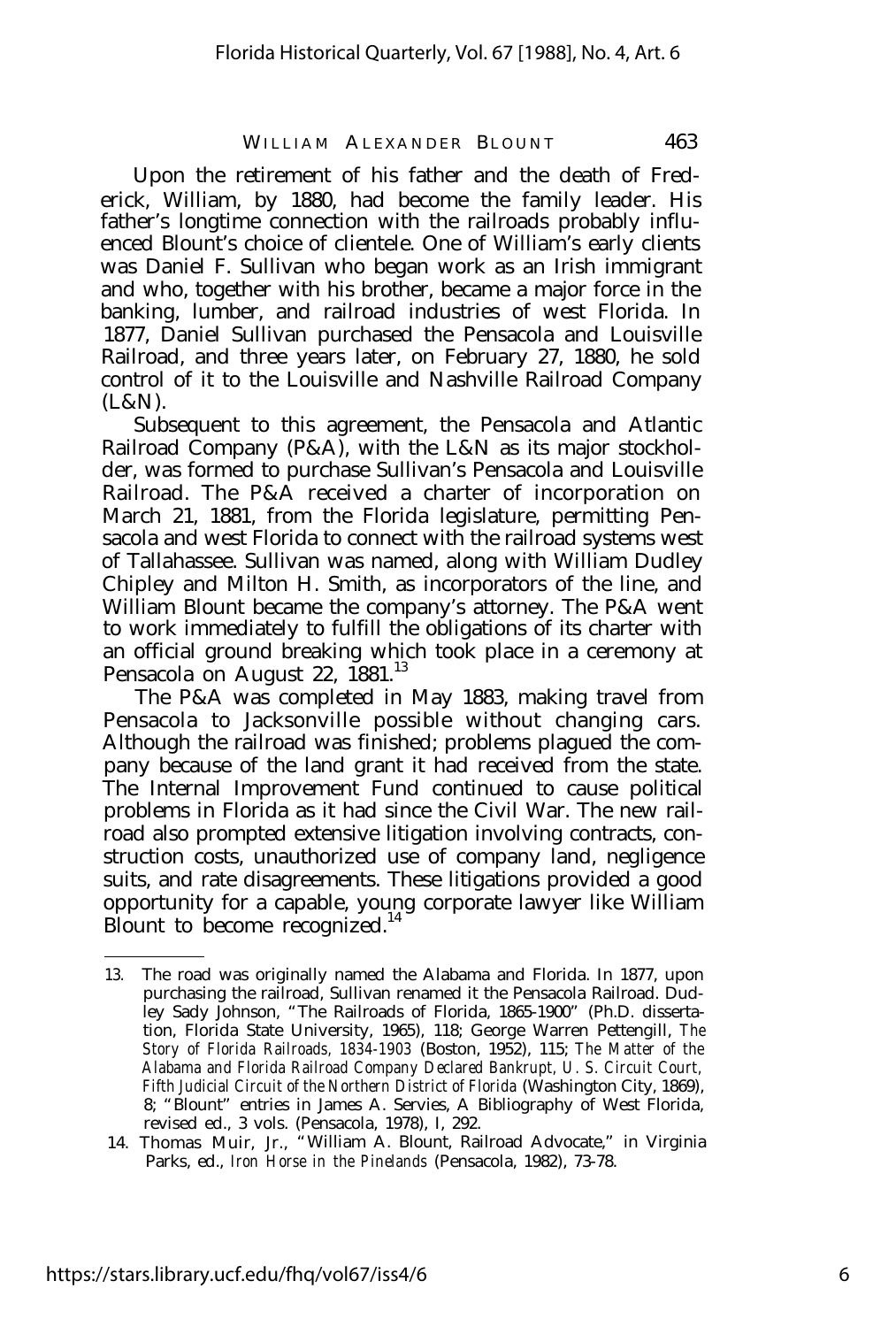Upon the retirement of his father and the death of Frederick, William, by 1880, had become the family leader. His father's longtime connection with the railroads probably influenced Blount's choice of clientele. One of William's early clients was Daniel F. Sullivan who began work as an Irish immigrant and who, together with his brother, became a major force in the banking, lumber, and railroad industries of west Florida. In 1877, Daniel Sullivan purchased the Pensacola and Louisville Railroad, and three years later, on February 27, 1880, he sold control of it to the Louisville and Nashville Railroad Company (L&N).

Subsequent to this agreement, the Pensacola and Atlantic Railroad Company (P&A), with the L&N as its major stockholder, was formed to purchase Sullivan's Pensacola and Louisville Railroad. The P&A received a charter of incorporation on March 21, 1881, from the Florida legislature, permitting Pensacola and west Florida to connect with the railroad systems west of Tallahassee. Sullivan was named, along with William Dudley Chipley and Milton H. Smith, as incorporators of the line, and William Blount became the company's attorney. The P&A went to work immediately to fulfill the obligations of its charter with an official ground breaking which took place in a ceremony at Pensacola on August 22, 1881.<sup>13</sup>

The P&A was completed in May 1883, making travel from Pensacola to Jacksonville possible without changing cars. Although the railroad was finished; problems plagued the company because of the land grant it had received from the state. The Internal Improvement Fund continued to cause political problems in Florida as it had since the Civil War. The new railroad also prompted extensive litigation involving contracts, construction costs, unauthorized use of company land, negligence suits, and rate disagreements. These litigations provided a good opportunity for a capable, young corporate lawyer like William Blount to become recognized.<sup>14</sup>

<sup>13.</sup> The road was originally named the Alabama and Florida. In 1877, upon purchasing the railroad, Sullivan renamed it the Pensacola Railroad. Dudley Sady Johnson, "The Railroads of Florida, 1865-1900" (Ph.D. dissertation, Florida State University, 1965), 118; George Warren Pettengill, *The Story of Florida Railroads, 1834-1903* (Boston, 1952), 115; *The Matter of the Alabama and Florida Railroad Company Declared Bankrupt, U. S. Circuit Court, Fifth Judicial Circuit of the Northern District of Florida* (Washington City, 1869), 8; "Blount" entries in James A. Servies, A Bibliography of West Florida, revised ed., 3 vols. (Pensacola, 1978), I, 292.

<sup>14.</sup> Thomas Muir, Jr., "William A. Blount, Railroad Advocate," in Virginia Parks, ed., *Iron Horse in the Pinelands* (Pensacola, 1982), 73-78.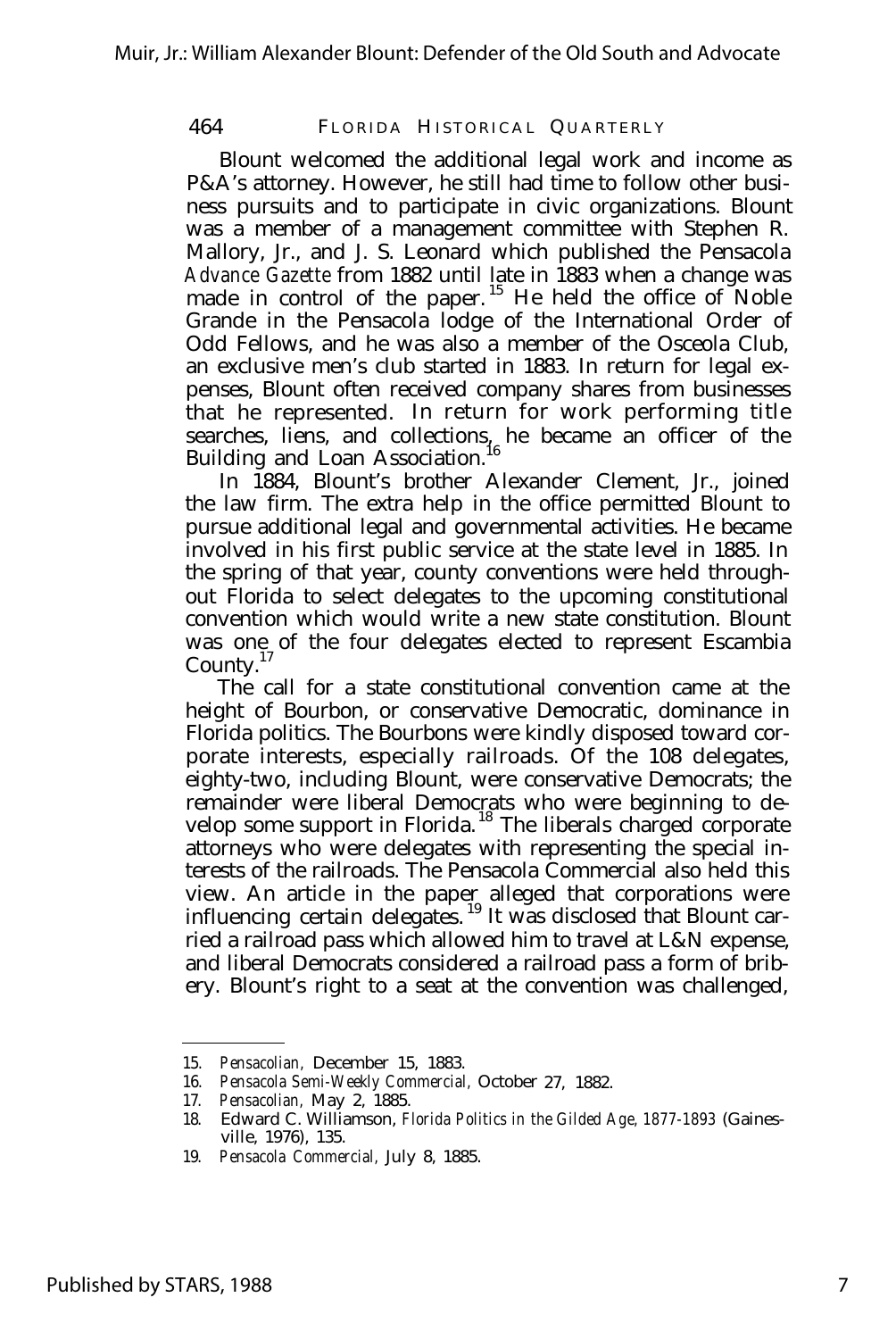Blount welcomed the additional legal work and income as P&A's attorney. However, he still had time to follow other business pursuits and to participate in civic organizations. Blount was a member of a management committee with Stephen R. Mallory, Jr., and J. S. Leonard which published the Pensacola *Advance Gazette* from 1882 until late in 1883 when a change was made in control of the paper.<sup>15</sup> He held the office of Noble Grande in the Pensacola lodge of the International Order of Odd Fellows, and he was also a member of the Osceola Club, an exclusive men's club started in 1883. In return for legal expenses, Blount often received company shares from businesses that he represented. In return for work performing title searches, liens, and collections, he became an officer of the Building and Loan Association.<sup>16</sup>

In 1884, Blount's brother Alexander Clement, Jr., joined the law firm. The extra help in the office permitted Blount to pursue additional legal and governmental activities. He became involved in his first public service at the state level in 1885. In the spring of that year, county conventions were held throughout Florida to select delegates to the upcoming constitutional convention which would write a new state constitution. Blount was one of the four delegates elected to represent Escambia County.<sup>17</sup>

The call for a state constitutional convention came at the height of Bourbon, or conservative Democratic, dominance in Florida politics. The Bourbons were kindly disposed toward corporate interests, especially railroads. Of the 108 delegates, eighty-two, including Blount, were conservative Democrats; the remainder were liberal Democrats who were beginning to develop some support in Florida.<sup>18</sup> The liberals charged corporate attorneys who were delegates with representing the special interests of the railroads. The Pensacola Commercial also held this view. An article in the paper alleged that corporations were influencing certain delegates.<sup>19</sup> It was disclosed that Blount carried a railroad pass which allowed him to travel at L&N expense, and liberal Democrats considered a railroad pass a form of bribery. Blount's right to a seat at the convention was challenged,

<sup>15.</sup> *Pensacolian,* December 15, 1883.

<sup>16.</sup> *Pensacola Semi-Weekly Commercial,* October 27, 1882.

<sup>17.</sup> *Pensacolian,* May 2, 1885.

<sup>18.</sup> Edward C. Williamson, *Florida Politics in the Gilded Age, 1877-1893* (Gainesville, 1976), 135.

<sup>19.</sup> *Pensacola Commercial,* July 8, 1885.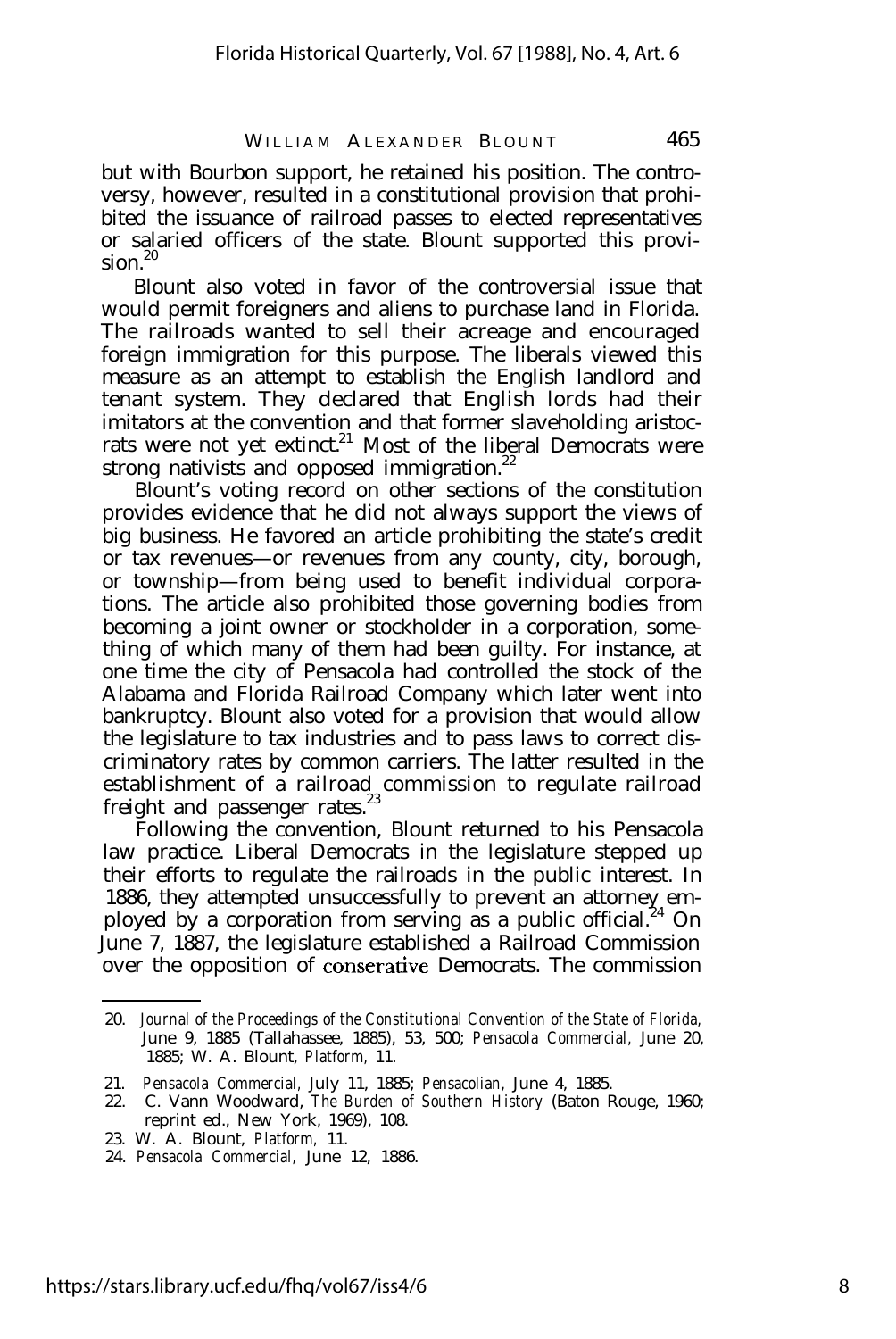but with Bourbon support, he retained his position. The controversy, however, resulted in a constitutional provision that prohibited the issuance of railroad passes to elected representatives or salaried officers of the state. Blount supported this provision $20$ 

Blount also voted in favor of the controversial issue that would permit foreigners and aliens to purchase land in Florida. The railroads wanted to sell their acreage and encouraged foreign immigration for this purpose. The liberals viewed this measure as an attempt to establish the English landlord and tenant system. They declared that English lords had their imitators at the convention and that former slaveholding aristocrats were not yet extinct.<sup>21</sup> Most of the liberal Democrats were strong nativists and opposed immigration.<sup>22</sup>

Blount's voting record on other sections of the constitution provides evidence that he did not always support the views of big business. He favored an article prohibiting the state's credit or tax revenues— or revenues from any county, city, borough, or township— from being used to benefit individual corporations. The article also prohibited those governing bodies from becoming a joint owner or stockholder in a corporation, something of which many of them had been guilty. For instance, at one time the city of Pensacola had controlled the stock of the Alabama and Florida Railroad Company which later went into bankruptcy. Blount also voted for a provision that would allow the legislature to tax industries and to pass laws to correct discriminatory rates by common carriers. The latter resulted in the establishment of a railroad commission to regulate railroad freight and passenger rates.<sup>23</sup>

Following the convention, Blount returned to his Pensacola law practice. Liberal Democrats in the legislature stepped up their efforts to regulate the railroads in the public interest. In 1886, they attempted unsuccessfully to prevent an attorney employed by a corporation from serving as a public official.<sup>24</sup> On June 7, 1887, the legislature established a Railroad Commission over the opposition of conserative Democrats. The commission

23. W. A. Blount, *Platform,* 11.

<sup>20.</sup> *Journal of the Proceedings of the Constitutional Convention of the State of Florida,* June 9, 1885 (Tallahassee, 1885), 53, 500; *Pensacola Commercial,* June 20, 1885; W. A. Blount, *Platform,* 11.

<sup>21.</sup> *Pensacola Commercial,* July 11, 1885; *Pensacolian,* June 4, 1885.

<sup>22.</sup> C. Vann Woodward, *The Burden of Southern History* (Baton Rouge, 1960; reprint ed., New York, 1969), 108.

<sup>24.</sup> *Pensacola Commercial,* June 12, 1886.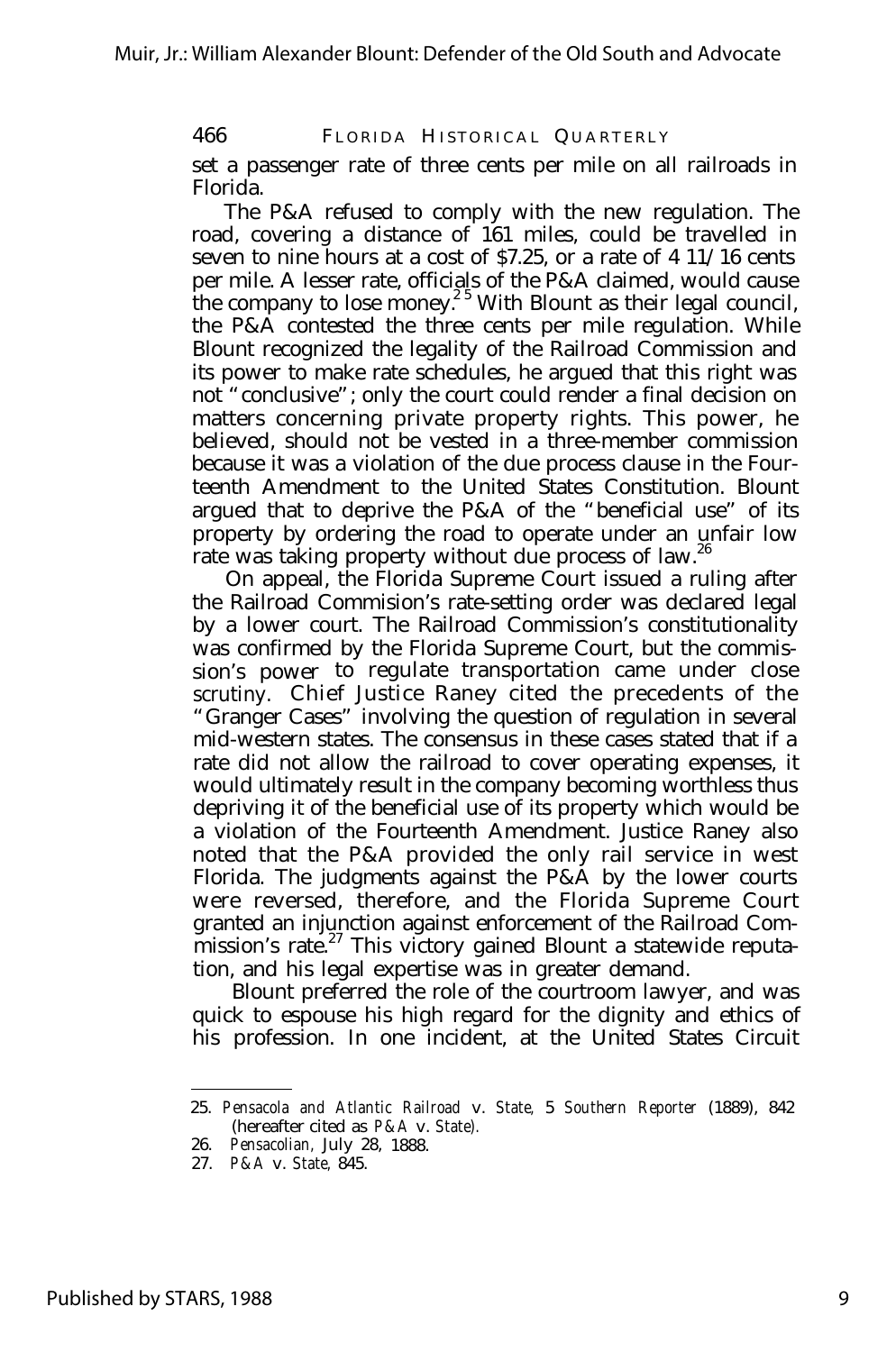set a passenger rate of three cents per mile on all railroads in Florida.

The P&A refused to comply with the new regulation. The road, covering a distance of 161 miles, could be travelled in seven to nine hours at a cost of \$7.25, or a rate of 4 11/16 cents per mile. A lesser rate, officials of the P&A claimed, would cause the company to lose money.<sup>25</sup> With Blount as their legal council, the P&A contested the three cents per mile regulation. While Blount recognized the legality of the Railroad Commission and its power to make rate schedules, he argued that this right was not "conclusive"; only the court could render a final decision on matters concerning private property rights. This power, he believed, should not be vested in a three-member commission because it was a violation of the due process clause in the Fourteenth Amendment to the United States Constitution. Blount argued that to deprive the P&A of the "beneficial use" of its property by ordering the road to operate under an unfair low rate was taking property without due process of law.<sup>26</sup>

On appeal, the Florida Supreme Court issued a ruling after the Railroad Commision's rate-setting order was declared legal by a lower court. The Railroad Commission's constitutionality was confirmed by the Florida Supreme Court, but the commission's power to regulate transportation came under close scrutiny. Chief Justice Raney cited the precedents of the "Granger Cases" involving the question of regulation in several mid-western states. The consensus in these cases stated that if a rate did not allow the railroad to cover operating expenses, it would ultimately result in the company becoming worthless thus depriving it of the beneficial use of its property which would be a violation of the Fourteenth Amendment. Justice Raney also noted that the P&A provided the only rail service in west Florida. The judgments against the P&A by the lower courts were reversed, therefore, and the Florida Supreme Court granted an injunction against enforcement of the Railroad Commission's rate.<sup>27</sup> This victory gained Blount a statewide reputation, and his legal expertise was in greater demand.

Blount preferred the role of the courtroom lawyer, and was quick to espouse his high regard for the dignity and ethics of his profession. In one incident, at the United States Circuit

<sup>25.</sup> *Pensacola and Atlantic Railroad* v. *State,* 5 *Southern Reporter* (1889), 842 (hereafter cited as *P&A* v. *State).*

<sup>26.</sup> *Pensacolian,* July 28, 1888.

<sup>27.</sup> *P&A* v. *State,* 845.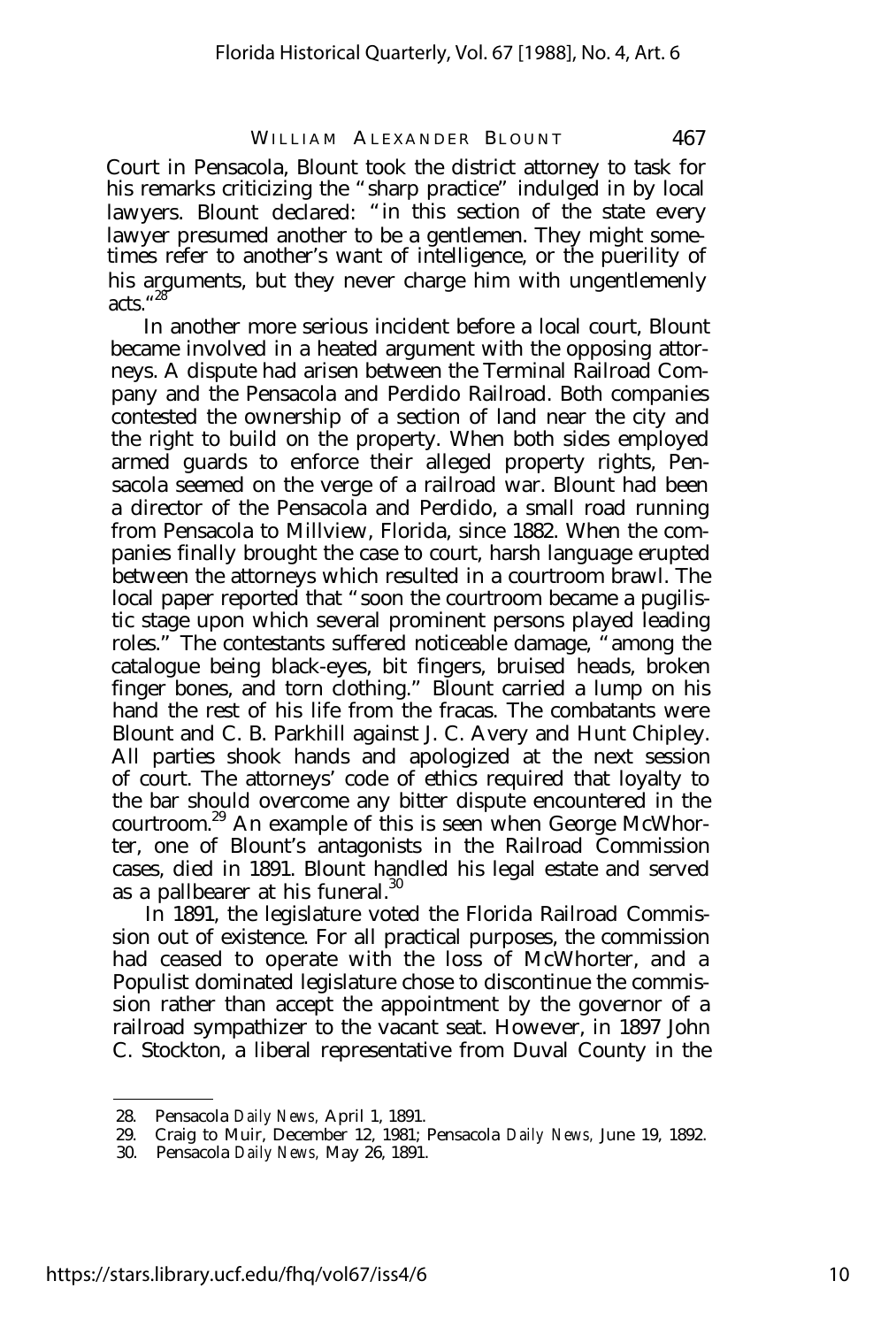Court in Pensacola, Blount took the district attorney to task for his remarks criticizing the "sharp practice" indulged in by local lawyers. Blount declared: "in this section of the state every lawyer presumed another to be a gentlemen. They might sometimes refer to another's want of intelligence, or the puerility of his arguments, but they never charge him with ungentlemenly acts."<sup>28</sup>

In another more serious incident before a local court, Blount became involved in a heated argument with the opposing attorneys. A dispute had arisen between the Terminal Railroad Company and the Pensacola and Perdido Railroad. Both companies contested the ownership of a section of land near the city and the right to build on the property. When both sides employed armed guards to enforce their alleged property rights, Pensacola seemed on the verge of a railroad war. Blount had been a director of the Pensacola and Perdido, a small road running from Pensacola to Millview, Florida, since 1882. When the companies finally brought the case to court, harsh language erupted between the attorneys which resulted in a courtroom brawl. The local paper reported that "soon the courtroom became a pugilistic stage upon which several prominent persons played leading roles." The contestants suffered noticeable damage, "among the catalogue being black-eyes, bit fingers, bruised heads, broken finger bones, and torn clothing." Blount carried a lump on his hand the rest of his life from the fracas. The combatants were Blount and C. B. Parkhill against J. C. Avery and Hunt Chipley. All parties shook hands and apologized at the next session of court. The attorneys' code of ethics required that loyalty to the bar should overcome any bitter dispute encountered in the courtroom.<sup>29</sup> An example of this is seen when George McWhorter, one of Blount's antagonists in the Railroad Commission cases, died in 1891. Blount handled his legal estate and served as a pallbearer at his funeral.<sup>30</sup>

In 1891, the legislature voted the Florida Railroad Commission out of existence. For all practical purposes, the commission had ceased to operate with the loss of McWhorter, and a Populist dominated legislature chose to discontinue the commission rather than accept the appointment by the governor of a railroad sympathizer to the vacant seat. However, in 1897 John C. Stockton, a liberal representative from Duval County in the

<sup>28.</sup> Pensacola *Daily News,* April 1, 1891.

<sup>29.</sup> Craig to Muir, December 12, 1981; Pensacola *Daily News,* June 19, 1892.

<sup>30.</sup> Pensacola *Daily News,* May 26, 1891.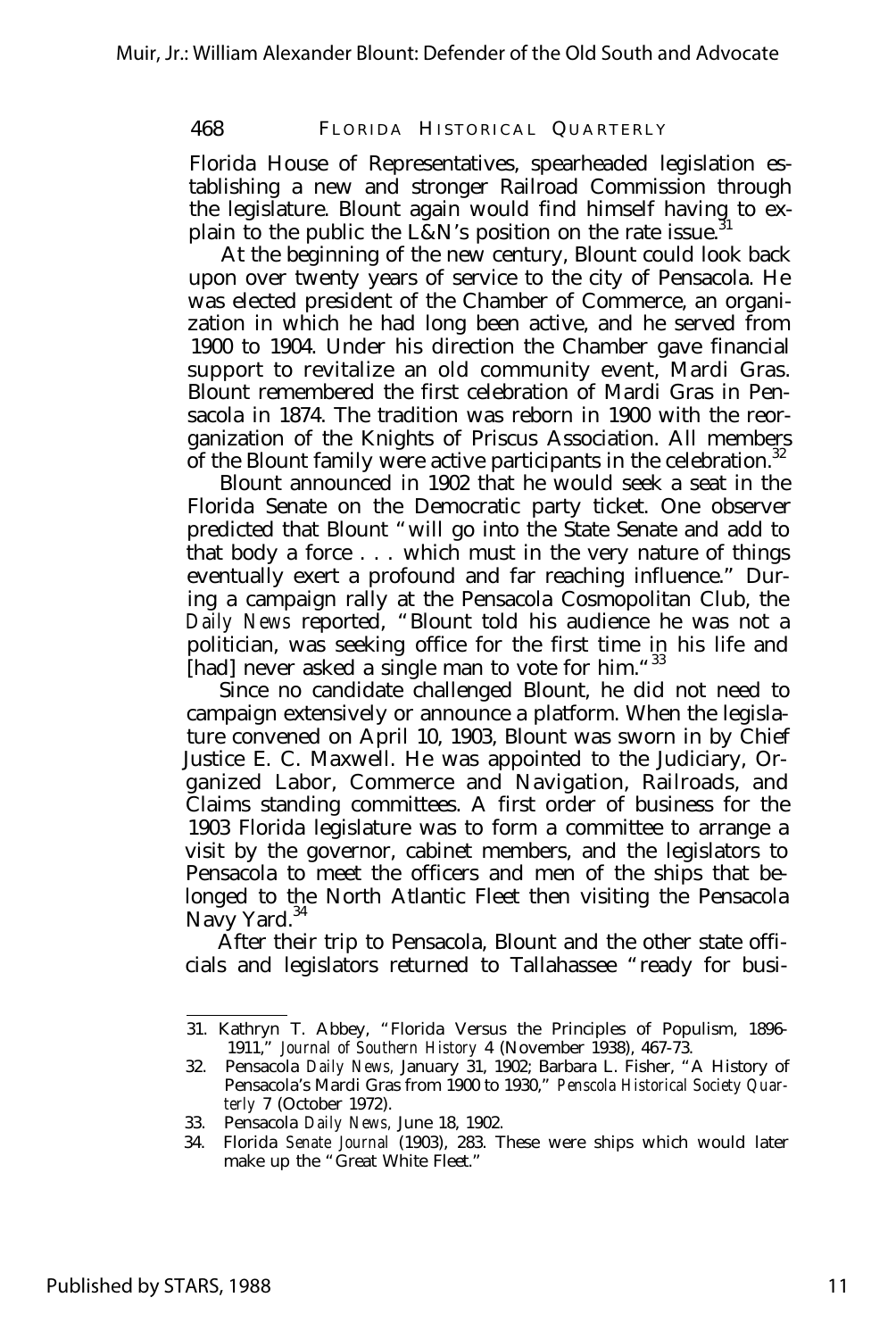Florida House of Representatives, spearheaded legislation establishing a new and stronger Railroad Commission through the legislature. Blount again would find himself having to explain to the public the L&N's position on the rate issue.<sup>3</sup>

At the beginning of the new century, Blount could look back upon over twenty years of service to the city of Pensacola. He was elected president of the Chamber of Commerce, an organization in which he had long been active, and he served from 1900 to 1904. Under his direction the Chamber gave financial support to revitalize an old community event, Mardi Gras. Blount remembered the first celebration of Mardi Gras in Pensacola in 1874. The tradition was reborn in 1900 with the reorganization of the Knights of Priscus Association. All members of the Blount family were active participants in the celebration.<sup>32</sup>

Blount announced in 1902 that he would seek a seat in the Florida Senate on the Democratic party ticket. One observer predicted that Blount "will go into the State Senate and add to that body a force . . . which must in the very nature of things eventually exert a profound and far reaching influence." During a campaign rally at the Pensacola Cosmopolitan Club, the *Daily News* reported, "Blount told his audience he was not a politician, was seeking office for the first time in his life and [had] never asked a single man to vote for him."<sup>33</sup>

Since no candidate challenged Blount, he did not need to campaign extensively or announce a platform. When the legislature convened on April 10, 1903, Blount was sworn in by Chief Justice E. C. Maxwell. He was appointed to the Judiciary, Organized Labor, Commerce and Navigation, Railroads, and Claims standing committees. A first order of business for the 1903 Florida legislature was to form a committee to arrange a visit by the governor, cabinet members, and the legislators to Pensacola to meet the officers and men of the ships that belonged to the North Atlantic Fleet then visiting the Pensacola Navy Yard.<sup>34</sup>

After their trip to Pensacola, Blount and the other state officials and legislators returned to Tallahassee "ready for busi-

<sup>31.</sup> Kathryn T. Abbey, "Florida Versus the Principles of Populism, 1896- 1911," *Journal of Southern History* 4 (November 1938), 467-73.

<sup>32.</sup> Pensacola *Daily News,* January 31, 1902; Barbara L. Fisher, "A History of Pensacola's Mardi Gras from 1900 to 1930," *Penscola Historical Society Quarterly* 7 (October 1972).

<sup>33.</sup> Pensacola *Daily News,* June 18, 1902.

<sup>34.</sup> Florida *Senate Journal* (1903), 283. These were ships which would later make up the "Great White Fleet."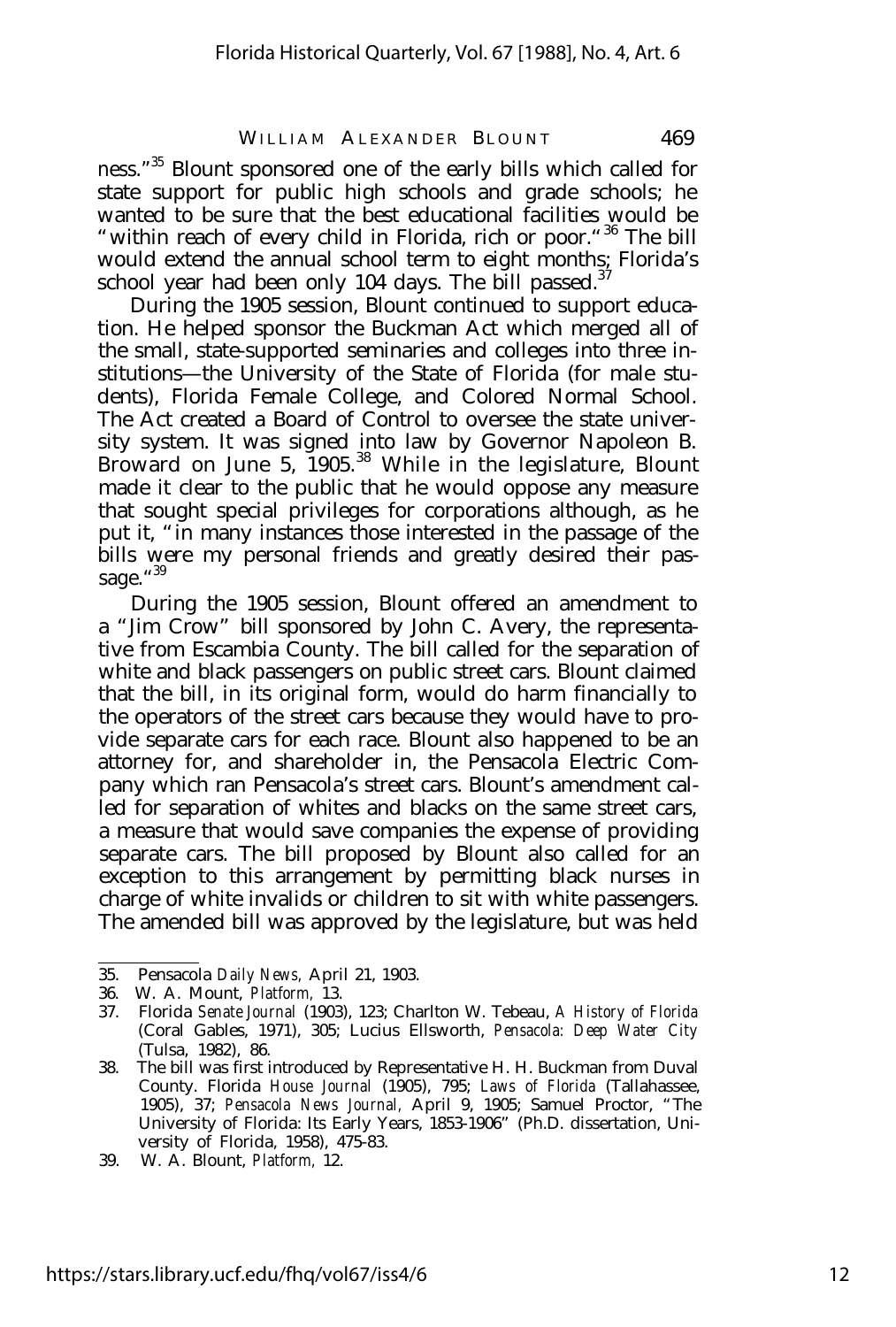ness."<sup>35</sup> Blount sponsored one of the early bills which called for state support for public high schools and grade schools; he wanted to be sure that the best educational facilities would be "within reach of every child in Florida, rich or poor."<sup>36</sup> The bill would extend the annual school term to eight months; Florida's school year had been only 104 days. The bill passed. $37$ 

During the 1905 session, Blount continued to support education. He helped sponsor the Buckman Act which merged all of the small, state-supported seminaries and colleges into three institutions— the University of the State of Florida (for male students), Florida Female College, and Colored Normal School. The Act created a Board of Control to oversee the state university system. It was signed into law by Governor Napoleon B. Broward on June 5, 1905.<sup>38</sup> While in the legislature, Blount made it clear to the public that he would oppose any measure that sought special privileges for corporations although, as he put it, "in many instances those interested in the passage of the bills were my personal friends and greatly desired their passage."<sup>39</sup>

During the 1905 session, Blount offered an amendment to a "Jim Crow" bill sponsored by John C. Avery, the representative from Escambia County. The bill called for the separation of white and black passengers on public street cars. Blount claimed that the bill, in its original form, would do harm financially to the operators of the street cars because they would have to provide separate cars for each race. Blount also happened to be an attorney for, and shareholder in, the Pensacola Electric Company which ran Pensacola's street cars. Blount's amendment called for separation of whites and blacks on the same street cars, a measure that would save companies the expense of providing separate cars. The bill proposed by Blount also called for an exception to this arrangement by permitting black nurses in charge of white invalids or children to sit with white passengers. The amended bill was approved by the legislature, but was held

<sup>35.</sup> Pensacola *Daily News,* April 21, 1903.

<sup>36.</sup> W. A. Mount, *Platform,* 13.

<sup>37.</sup> Florida *Senate Journal* (1903), 123; Charlton W. Tebeau, *A History of Florida* (Coral Gables, 1971), 305; Lucius Ellsworth, *Pensacola: Deep Water City* (Tulsa, 1982), 86.

<sup>38.</sup> The bill was first introduced by Representative H. H. Buckman from Duval County. Florida *House Journal* (1905), 795; *Laws of Florida* (Tallahassee, 1905), 37; *Pensacola News Journal,* April 9, 1905; Samuel Proctor, "The University of Florida: Its Early Years, 1853-1906" (Ph.D. dissertation, University of Florida, 1958), 475-83.

<sup>39.</sup> W. A. Blount, *Platform,* 12.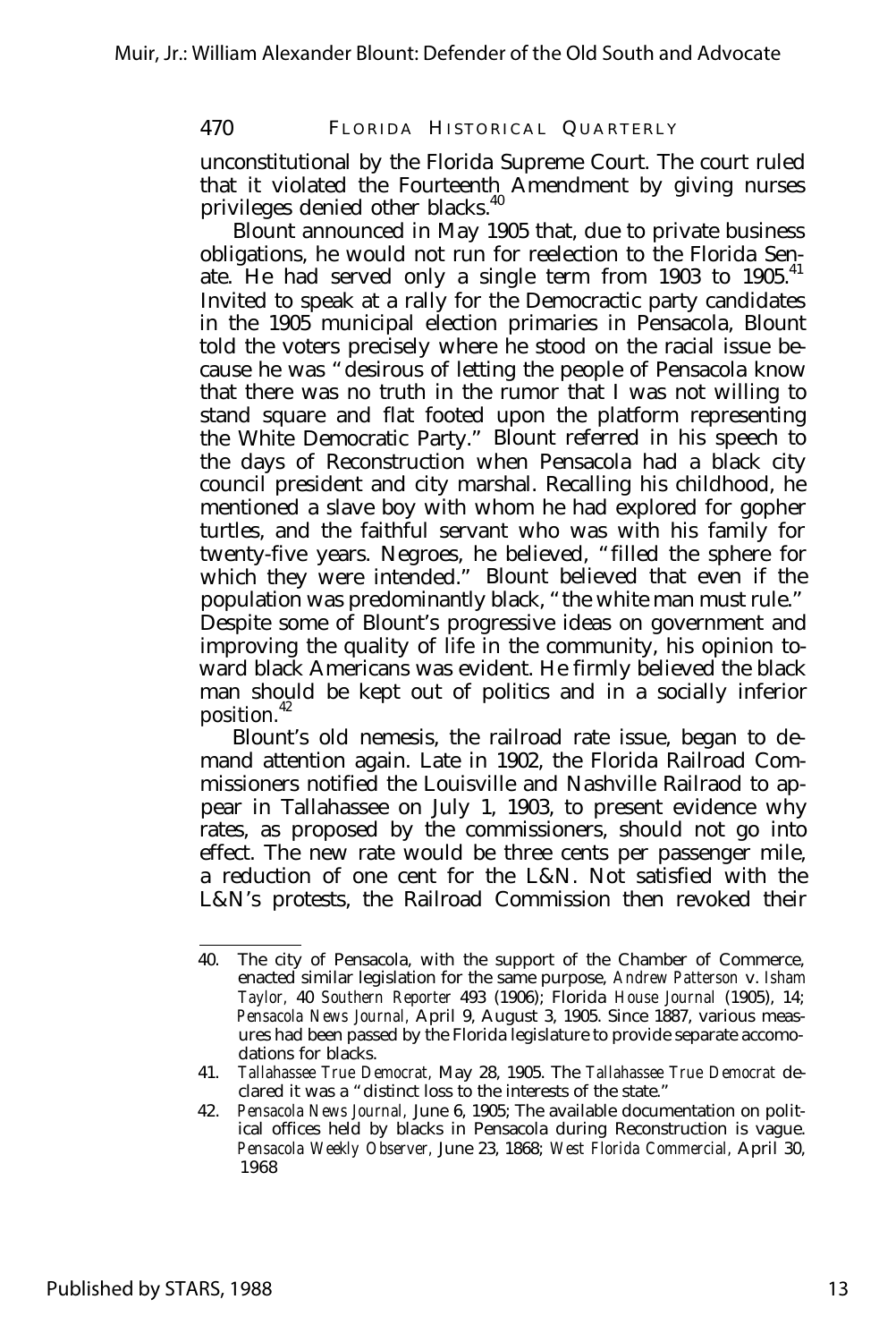unconstitutional by the Florida Supreme Court. The court ruled that it violated the Fourteenth Amendment by giving nurses privileges denied other blacks.<sup>40</sup>

Blount announced in May 1905 that, due to private business obligations, he would not run for reelection to the Florida Senate. He had served only a single term from 1903 to 1905.<sup>41</sup> Invited to speak at a rally for the Democractic party candidates in the 1905 municipal election primaries in Pensacola, Blount told the voters precisely where he stood on the racial issue because he was "desirous of letting the people of Pensacola know that there was no truth in the rumor that I was not willing to stand square and flat footed upon the platform representing the White Democratic Party." Blount referred in his speech to the days of Reconstruction when Pensacola had a black city council president and city marshal. Recalling his childhood, he mentioned a slave boy with whom he had explored for gopher turtles, and the faithful servant who was with his family for twenty-five years. Negroes, he believed, "filled the sphere for which they were intended." Blount believed that even if the population was predominantly black, "the white man must rule." Despite some of Blount's progressive ideas on government and improving the quality of life in the community, his opinion toward black Americans was evident. He firmly believed the black man should be kept out of politics and in a socially inferior position.<sup>42</sup>

Blount's old nemesis, the railroad rate issue, began to demand attention again. Late in 1902, the Florida Railroad Commissioners notified the Louisville and Nashville Railraod to appear in Tallahassee on July 1, 1903, to present evidence why rates, as proposed by the commissioners, should not go into effect. The new rate would be three cents per passenger mile, a reduction of one cent for the L&N. Not satisfied with the L&N's protests, the Railroad Commission then revoked their

<sup>40.</sup> The city of Pensacola, with the support of the Chamber of Commerce, enacted similar legislation for the same purpose, *Andrew Patterson* v. *Isham Taylor,* 40 *Southern Reporter* 493 (1906); Florida *House Journal* (1905), 14; *Pensacola News Journal,* April 9, August 3, 1905. Since 1887, various measures had been passed by the Florida legislature to provide separate accomodations for blacks.

<sup>41.</sup> *Tallahassee True Democrat,* May 28, 1905. The *Tallahassee True Democrat* declared it was a "distinct loss to the interests of the state."

<sup>42.</sup> *Pensacola News Journal,* June 6, 1905; The available documentation on political offices held by blacks in Pensacola during Reconstruction is vague. *Pensacola Weekly Observer,* June 23, 1868; *West Florida Commercial,* April 30, 1968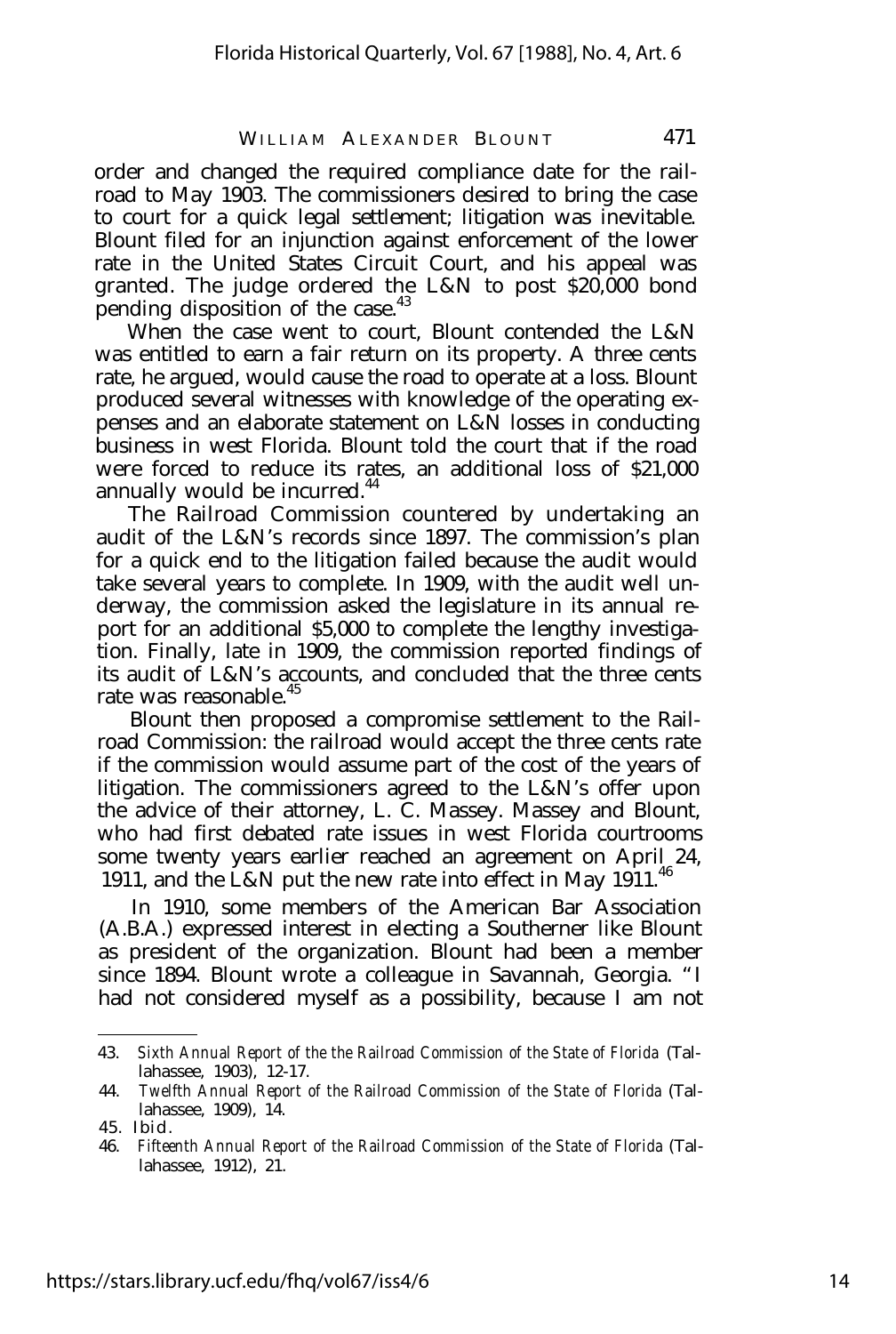order and changed the required compliance date for the railroad to May 1903. The commissioners desired to bring the case to court for a quick legal settlement; litigation was inevitable. Blount filed for an injunction against enforcement of the lower rate in the United States Circuit Court, and his appeal was granted. The judge ordered the L&N to post \$20,000 bond pending disposition of the case.<sup>43</sup>

When the case went to court, Blount contended the L&N was entitled to earn a fair return on its property. A three cents rate, he argued, would cause the road to operate at a loss. Blount produced several witnesses with knowledge of the operating expenses and an elaborate statement on  $L\&N$  losses in conducting business in west Florida. Blount told the court that if the road were forced to reduce its rates, an additional loss of \$21,000 annually would be incurred.<sup>44</sup>

The Railroad Commission countered by undertaking an audit of the L&N's records since 1897. The commission's plan for a quick end to the litigation failed because the audit would take several years to complete. In 1909, with the audit well underway, the commission asked the legislature in its annual report for an additional \$5,000 to complete the lengthy investigation. Finally, late in 1909, the commission reported findings of its audit of L&N's accounts, and concluded that the three cents rate was reasonable.<sup>45</sup>

Blount then proposed a compromise settlement to the Railroad Commission: the railroad would accept the three cents rate if the commission would assume part of the cost of the years of litigation. The commissioners agreed to the L&N's offer upon the advice of their attorney, L. C. Massey. Massey and Blount, who had first debated rate issues in west Florida courtrooms some twenty years earlier reached an agreement on April 24, 1911, and the L&N put the new rate into effect in May 1911.<sup>46</sup>

In 1910, some members of the American Bar Association (A.B.A.) expressed interest in electing a Southerner like Blount as president of the organization. Blount had been a member since 1894. Blount wrote a colleague in Savannah, Georgia. "I had not considered myself as a possibility, because I am not

<sup>43.</sup> *Sixth Annual Report of the the Railroad Commission of the State of Florida* (Tallahassee, 1903), 12-17.

<sup>44.</sup> *Twelfth Annual Report of the Railroad Commission of the State of Florida* (Tallahassee, 1909), 14.

<sup>45.</sup> Ibid.

<sup>46.</sup> *Fifteenth Annual Report of the Railroad Commission of the State of Florida* (Tallahassee, 1912), 21.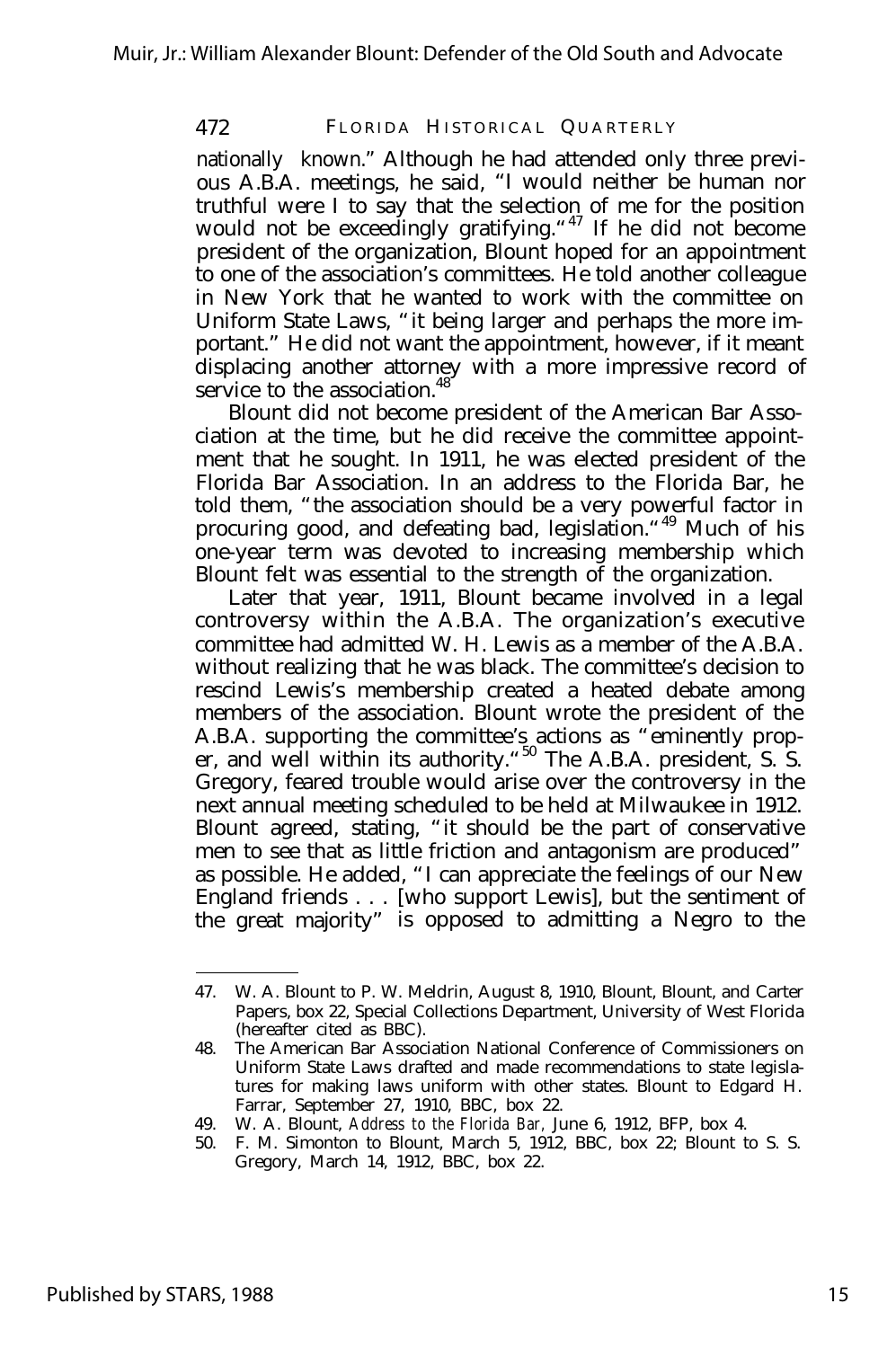nationally known." Although he had attended only three previous A.B.A. meetings, he said, "I would neither be human nor truthful were I to say that the selection of me for the position would not be exceedingly gratifying."<sup>47</sup> If he did not become president of the organization, Blount hoped for an appointment to one of the association's committees. He told another colleague in New York that he wanted to work with the committee on Uniform State Laws, "it being larger and perhaps the more important." He did not want the appointment, however, if it meant displacing another attorney with a more impressive record of service to the association.<sup>48</sup>

Blount did not become president of the American Bar Association at the time, but he did receive the committee appointment that he sought. In 1911, he was elected president of the Florida Bar Association. In an address to the Florida Bar, he told them, "the association should be a very powerful factor in procuring good, and defeating bad, legislation."<sup>49</sup> Much of his one-year term was devoted to increasing membership which Blount felt was essential to the strength of the organization.

Later that year, 1911, Blount became involved in a legal controversy within the A.B.A. The organization's executive committee had admitted W. H. Lewis as a member of the A.B.A. without realizing that he was black. The committee's decision to rescind Lewis's membership created a heated debate among members of the association. Blount wrote the president of the A.B.A. supporting the committee's actions as "eminently proper, and well within its authority.<sup>"50</sup> The A.B.A. president, S. S. Gregory, feared trouble would arise over the controversy in the next annual meeting scheduled to be held at Milwaukee in 1912. Blount agreed, stating, "it should be the part of conservative men to see that as little friction and antagonism are produced" as possible. He added, "I can appreciate the feelings of our New England friends . . . [who support Lewis], but the sentiment of the great majority" is opposed to admitting a Negro to the

<sup>47.</sup> W. A. Blount to P. W. Meldrin, August 8, 1910, Blount, Blount, and Carter Papers, box 22, Special Collections Department, University of West Florida (hereafter cited as BBC).

<sup>48.</sup> The American Bar Association National Conference of Commissioners on Uniform State Laws drafted and made recommendations to state legislatures for making laws uniform with other states. Blount to Edgard H. Farrar, September 27, 1910, BBC, box 22.

<sup>49.</sup> W. A. Blount, *Address to the Florida Bar,* June 6, 1912, BFP, box 4.

<sup>50.</sup> F. M. Simonton to Blount, March 5, 1912, BBC, box 22; Blount to S. S. Gregory, March 14, 1912, BBC, box 22.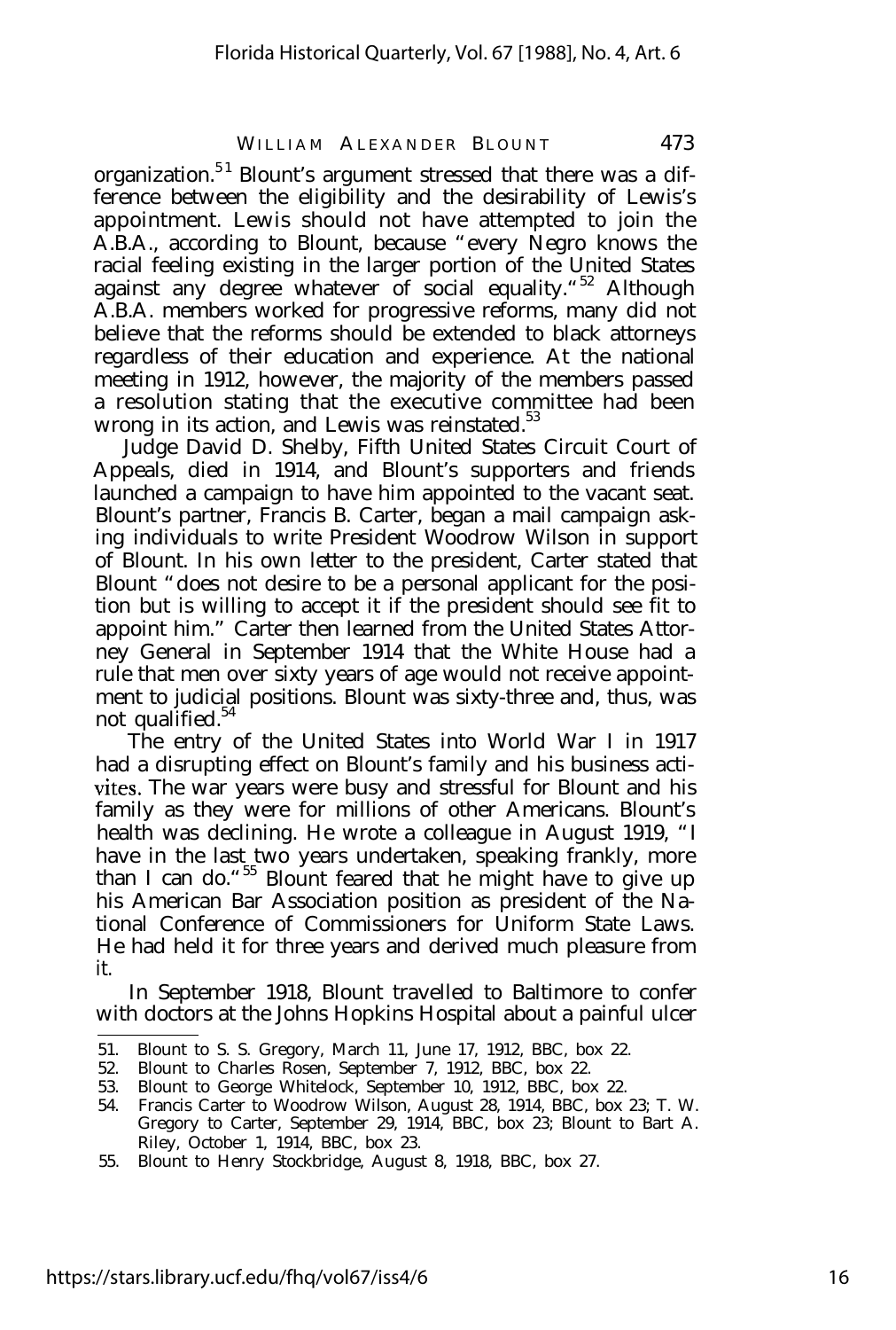organization.<sup>51</sup> Blount's argument stressed that there was a difference between the eligibility and the desirability of Lewis's appointment. Lewis should not have attempted to join the A.B.A., according to Blount, because "every Negro knows the racial feeling existing in the larger portion of the United States against any degree whatever of social equality."<sup>52</sup> Although A.B.A. members worked for progressive reforms, many did not believe that the reforms should be extended to black attorneys regardless of their education and experience. At the national meeting in 1912, however, the majority of the members passed a resolution stating that the executive committee had been wrong in its action, and Lewis was reinstated.<sup>53</sup>

Judge David D. Shelby, Fifth United States Circuit Court of Appeals, died in 1914, and Blount's supporters and friends launched a campaign to have him appointed to the vacant seat. Blount's partner, Francis B. Carter, began a mail campaign asking individuals to write President Woodrow Wilson in support of Blount. In his own letter to the president, Carter stated that Blount "does not desire to be a personal applicant for the position but is willing to accept it if the president should see fit to appoint him." Carter then learned from the United States Attorney General in September 1914 that the White House had a rule that men over sixty years of age would not receive appointment to judicial positions. Blount was sixty-three and, thus, was not qualified. $54$ 

The entry of the United States into World War I in 1917 had a disrupting effect on Blount's family and his business activites. The war years were busy and stressful for Blount and his family as they were for millions of other Americans. Blount's health was declining. He wrote a colleague in August 1919, "I have in the last two years undertaken, speaking frankly, more than I can do.<sup>455</sup> Blount feared that he might have to give up his American Bar Association position as president of the National Conference of Commissioners for Uniform State Laws. He had held it for three years and derived much pleasure from it.

In September 1918, Blount travelled to Baltimore to confer with doctors at the Johns Hopkins Hospital about a painful ulcer

<sup>51.</sup> Blount to S. S. Gregory, March 11, June 17, 1912, BBC, box 22.

<sup>52.</sup> Blount to Charles Rosen, September 7, 1912, BBC, box 22.

<sup>53.</sup> Blount to George Whitelock, September 10, 1912, BBC, box 22.

<sup>54.</sup> Francis Carter to Woodrow Wilson, August 28, 1914, BBC, box 23; T. W. Gregory to Carter, September 29, 1914, BBC, box 23; Blount to Bart A. Riley, October 1, 1914, BBC, box 23.

<sup>55.</sup> Blount to Henry Stockbridge, August 8, 1918, BBC, box 27.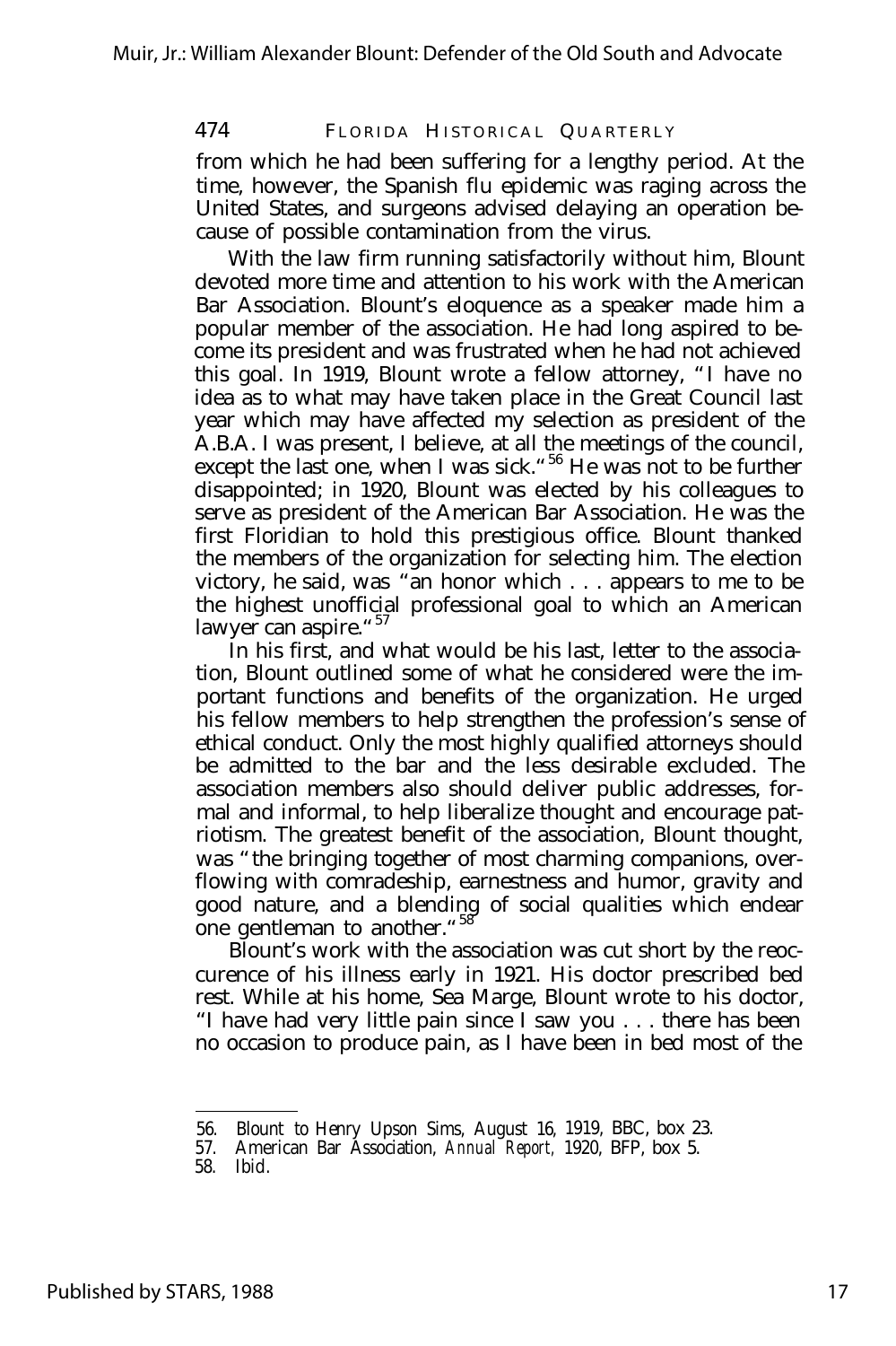from which he had been suffering for a lengthy period. At the time, however, the Spanish flu epidemic was raging across the United States, and surgeons advised delaying an operation because of possible contamination from the virus.

With the law firm running satisfactorily without him, Blount devoted more time and attention to his work with the American Bar Association. Blount's eloquence as a speaker made him a popular member of the association. He had long aspired to become its president and was frustrated when he had not achieved this goal. In 1919, Blount wrote a fellow attorney, "I have no idea as to what may have taken place in the Great Council last year which may have affected my selection as president of the A.B.A. I was present, I believe, at all the meetings of the council, except the last one, when I was sick."<sup>56</sup> He was not to be further disappointed; in 1920, Blount was elected by his colleagues to serve as president of the American Bar Association. He was the first Floridian to hold this prestigious office. Blount thanked the members of the organization for selecting him. The election victory, he said, was "an honor which . . . appears to me to be the highest unofficial professional goal to which an American lawyer can aspire."<sup>57</sup>

In his first, and what would be his last, letter to the association, Blount outlined some of what he considered were the important functions and benefits of the organization. He urged his fellow members to help strengthen the profession's sense of ethical conduct. Only the most highly qualified attorneys should be admitted to the bar and the less desirable excluded. The association members also should deliver public addresses, formal and informal, to help liberalize thought and encourage patriotism. The greatest benefit of the association, Blount thought, was "the bringing together of most charming companions, overflowing with comradeship, earnestness and humor, gravity and good nature, and a blending of social qualities which endear one gentleman to another."<sup>58</sup>

Blount's work with the association was cut short by the reoccurence of his illness early in 1921. His doctor prescribed bed rest. While at his home, Sea Marge, Blount wrote to his doctor, "I have had very little pain since I saw you . . . there has been no occasion to produce pain, as I have been in bed most of the

<sup>56.</sup> Blount to Henry Upson Sims, August 16, 1919, BBC, box 23.

<sup>57.</sup> American Bar Association, *Annual Report,* 1920, BFP, box 5.

<sup>58.</sup> Ibid.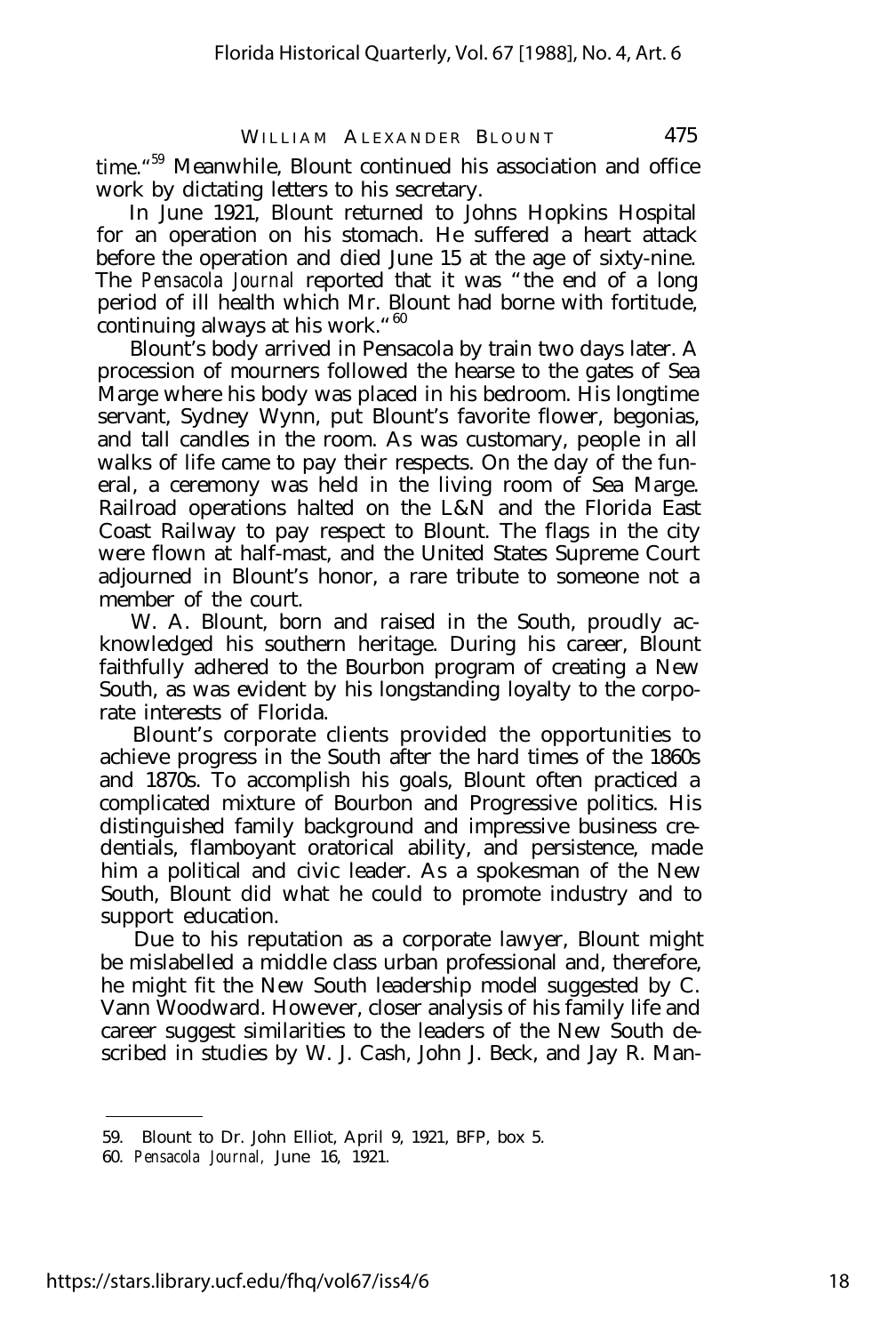time." <sup>59</sup> Meanwhile, Blount continued his association and office work by dictating letters to his secretary.

In June 1921, Blount returned to Johns Hopkins Hospital for an operation on his stomach. He suffered a heart attack before the operation and died June 15 at the age of sixty-nine. The *Pensacola Journal* reported that it was "the end of a long period of ill health which Mr. Blount had borne with fortitude, continuing always at his work."<sup>60</sup>

Blount's body arrived in Pensacola by train two days later. A procession of mourners followed the hearse to the gates of Sea Marge where his body was placed in his bedroom. His longtime servant, Sydney Wynn, put Blount's favorite flower, begonias, and tall candles in the room. As was customary, people in all walks of life came to pay their respects. On the day of the funeral, a ceremony was held in the living room of Sea Marge. Railroad operations halted on the L&N and the Florida East Coast Railway to pay respect to Blount. The flags in the city were flown at half-mast, and the United States Supreme Court adjourned in Blount's honor, a rare tribute to someone not a member of the court.

W. A. Blount, born and raised in the South, proudly acknowledged his southern heritage. During his career, Blount faithfully adhered to the Bourbon program of creating a New South, as was evident by his longstanding loyalty to the corporate interests of Florida.

Blount's corporate clients provided the opportunities to achieve progress in the South after the hard times of the 1860s and 1870s. To accomplish his goals, Blount often practiced a complicated mixture of Bourbon and Progressive politics. His distinguished family background and impressive business credentials, flamboyant oratorical ability, and persistence, made him a political and civic leader. As a spokesman of the New South, Blount did what he could to promote industry and to support education.

Due to his reputation as a corporate lawyer, Blount might be mislabelled a middle class urban professional and, therefore, he might fit the New South leadership model suggested by C. Vann Woodward. However, closer analysis of his family life and career suggest similarities to the leaders of the New South described in studies by W. J. Cash, John J. Beck, and Jay R. Man-

<sup>59.</sup> Blount to Dr. John Elliot, April 9, 1921, BFP, box 5.

<sup>60.</sup> *Pensacola Journal,* June 16, 1921.